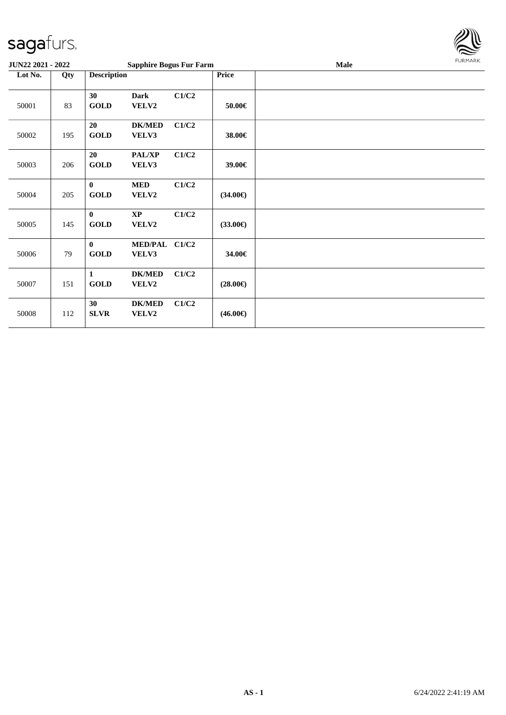

| JUN22 2021 - 2022 |     |                         | <b>Sapphire Bogus Fur Farm</b> |       |                   | <b>FURMARK</b><br><b>Male</b> |  |
|-------------------|-----|-------------------------|--------------------------------|-------|-------------------|-------------------------------|--|
| Lot No.           | Qty | <b>Description</b>      |                                |       | Price             |                               |  |
| 50001             | 83  | 30<br><b>GOLD</b>       | <b>Dark</b><br>VELV2           | C1/C2 | 50.00€            |                               |  |
| 50002             | 195 | 20<br><b>GOLD</b>       | <b>DK/MED</b><br>VELV3         | C1/C2 | 38.00€            |                               |  |
| 50003             | 206 | 20<br><b>GOLD</b>       | PAL/XP<br>VELV3                | C1/C2 | 39.00€            |                               |  |
| 50004             | 205 | $\bf{0}$<br><b>GOLD</b> | <b>MED</b><br>VELV2            | C1/C2 | $(34.00\epsilon)$ |                               |  |
| 50005             | 145 | $\bf{0}$<br><b>GOLD</b> | $\mathbf{XP}$<br>VELV2         | C1/C2 | $(33.00\epsilon)$ |                               |  |
| 50006             | 79  | $\bf{0}$<br><b>GOLD</b> | MED/PAL C1/C2<br>VELV3         |       | 34.00€            |                               |  |
| 50007             | 151 | 1<br><b>GOLD</b>        | <b>DK/MED</b><br>VELV2         | C1/C2 | $(28.00\epsilon)$ |                               |  |
| 50008             | 112 | 30<br><b>SLVR</b>       | <b>DK/MED</b><br>VELV2         | C1/C2 | $(46.00\epsilon)$ |                               |  |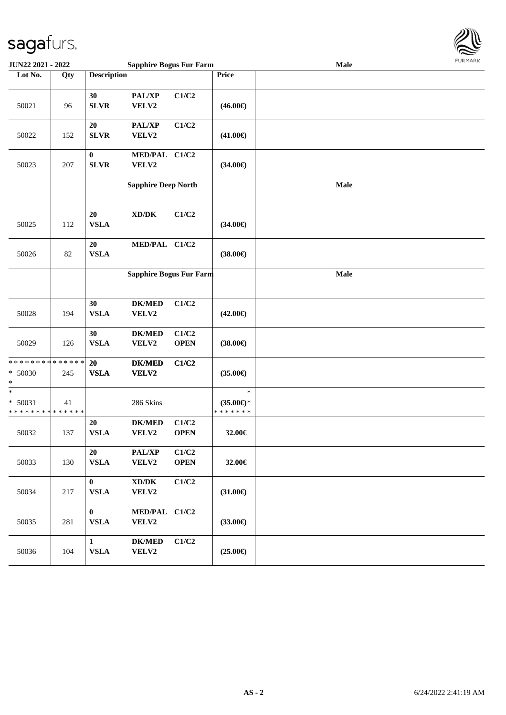

| <b>JUN22 2021 - 2022</b>                           | <b>Sapphire Bogus Fur Farm</b> |                              |                                              |                      | <b>Male</b>                                    |             |  |  |
|----------------------------------------------------|--------------------------------|------------------------------|----------------------------------------------|----------------------|------------------------------------------------|-------------|--|--|
| Lot No.                                            | Qty                            | <b>Description</b>           |                                              |                      | Price                                          |             |  |  |
| 50021                                              | 96                             | 30<br><b>SLVR</b>            | PAL/XP<br>VELV2                              | C1/C2                | $(46.00\epsilon)$                              |             |  |  |
| 50022                                              | 152                            | 20<br><b>SLVR</b>            | PAL/XP<br>VELV2                              | C1/C2                | $(41.00\epsilon)$                              |             |  |  |
| 50023                                              | 207                            | $\bf{0}$<br><b>SLVR</b>      | MED/PAL C1/C2<br>VELV2                       |                      | $(34.00\epsilon)$                              |             |  |  |
|                                                    |                                |                              | <b>Sapphire Deep North</b>                   |                      |                                                | <b>Male</b> |  |  |
| 50025                                              | 112                            | 20<br><b>VSLA</b>            | $\bold{X}\bold{D}/\bold{D}\bold{K}$          | C1/C2                | $(34.00\epsilon)$                              |             |  |  |
| 50026                                              | 82                             | 20<br><b>VSLA</b>            | MED/PAL C1/C2                                |                      | $(38.00\epsilon)$                              |             |  |  |
|                                                    |                                |                              | Sapphire Bogus Fur Farm                      |                      |                                                | Male        |  |  |
| 50028                                              | 194                            | 30<br><b>VSLA</b>            | <b>DK/MED</b><br>VELV2                       | C1/C2                | $(42.00\epsilon)$                              |             |  |  |
| 50029                                              | 126                            | 30<br><b>VSLA</b>            | <b>DK/MED</b><br>VELV2                       | C1/C2<br><b>OPEN</b> | $(38.00\epsilon)$                              |             |  |  |
| * * * * * * * * * * * * * *<br>$* 50030$<br>*      | 245                            | 20<br><b>VSLA</b>            | <b>DK/MED</b><br>VELV2                       | C1/C2                | $(35.00\epsilon)$                              |             |  |  |
| $\ast$<br>$* 50031$<br>* * * * * * * * * * * * * * | 41                             |                              | 286 Skins                                    |                      | $\ast$<br>$(35.00\epsilon)$ *<br>* * * * * * * |             |  |  |
| 50032                                              | 137                            | 20<br><b>VSLA</b>            | <b>DK/MED</b><br>VELV2                       | C1/C2<br><b>OPEN</b> | 32.00€                                         |             |  |  |
| 50033                                              | 130                            | 20<br>${\bf VSLA}$           | PAL/XP<br>VELV2                              | C1/C2<br><b>OPEN</b> | 32.00€                                         |             |  |  |
| 50034                                              | 217                            | $\bf{0}$<br>${\bf VSLA}$     | $\bold{X}\bold{D}/\bold{D}\bold{K}$<br>VELV2 | C1/C2                | $(31.00\epsilon)$                              |             |  |  |
| 50035                                              | 281                            | $\bf{0}$<br>${\bf VSLA}$     | MED/PAL C1/C2<br>VELV2                       |                      | $(33.00\epsilon)$                              |             |  |  |
| 50036                                              | 104                            | $\mathbf{1}$<br>${\bf VSLA}$ | <b>DK/MED</b><br>VELV2                       | C1/C2                | $(25.00\epsilon)$                              |             |  |  |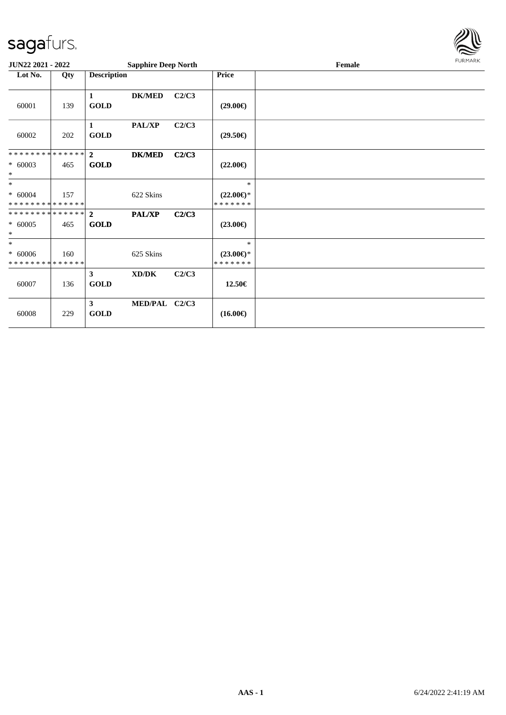

| JUN22 2021 - 2022                                    |     |                               | <b>Sapphire Deep North</b> |       |                                                | FURMARK |  |
|------------------------------------------------------|-----|-------------------------------|----------------------------|-------|------------------------------------------------|---------|--|
| Lot No.                                              | Qty | <b>Description</b>            |                            |       | <b>Price</b>                                   |         |  |
| 60001                                                | 139 | 1<br><b>GOLD</b>              | <b>DK/MED</b>              | C2/C3 | $(29.00\epsilon)$                              |         |  |
| 60002                                                | 202 | 1<br><b>GOLD</b>              | <b>PAL/XP</b>              | C2/C3 | $(29.50\epsilon)$                              |         |  |
| * * * * * * * * * * * * * * *<br>$* 60003$<br>$\ast$ | 465 | $\overline{2}$<br><b>GOLD</b> | <b>DK/MED</b>              | C2/C3 | $(22.00\epsilon)$                              |         |  |
| $*$<br>$* 60004$<br>* * * * * * * * * * * * * *      | 157 |                               | 622 Skins                  |       | $\ast$<br>$(22.00\epsilon)$ *<br>* * * * * * * |         |  |
| * * * * * * * * * * * * * * *<br>$* 60005$<br>$\ast$ | 465 | $\overline{2}$<br><b>GOLD</b> | <b>PAL/XP</b>              | C2/C3 | $(23.00\epsilon)$                              |         |  |
| $*$<br>$* 60006$<br>* * * * * * * * * * * * * *      | 160 |                               | 625 Skins                  |       | $\ast$<br>$(23.00\epsilon)$ *<br>*******       |         |  |
| 60007                                                | 136 | $\mathbf{3}$<br><b>GOLD</b>   | XD/DK                      | C2/C3 | 12.50€                                         |         |  |
| 60008                                                | 229 | $\mathbf{3}$<br><b>GOLD</b>   | MED/PAL C2/C3              |       | $(16.00\epsilon)$                              |         |  |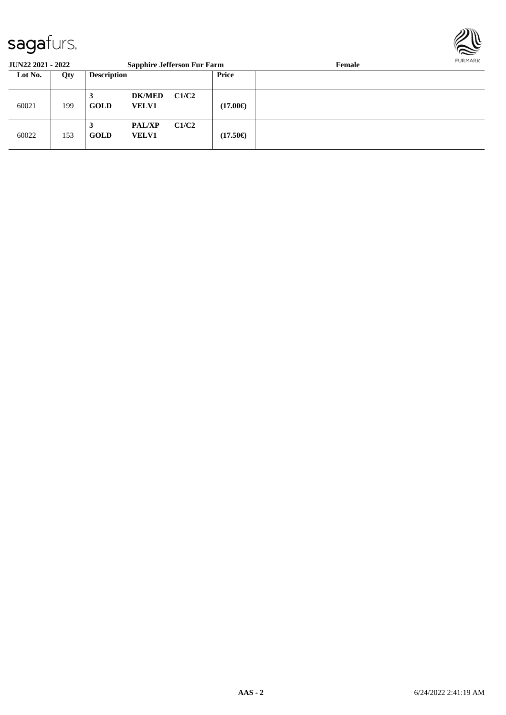

| <b>JUN22 2021 - 2022</b> |     |                    | <b>Sapphire Jefferson Fur Farm</b> |       |                   | Female | <b>FURMARK</b> |
|--------------------------|-----|--------------------|------------------------------------|-------|-------------------|--------|----------------|
| Lot No.                  | Qty | <b>Description</b> |                                    |       | <b>Price</b>      |        |                |
| 60021                    | 199 | 3<br><b>GOLD</b>   | <b>DK/MED</b><br><b>VELV1</b>      | C1/C2 | $(17.00\epsilon)$ |        |                |
| 60022                    | 153 | 3<br><b>GOLD</b>   | <b>PAL/XP</b><br><b>VELV1</b>      | C1/C2 | $(17.50\epsilon)$ |        |                |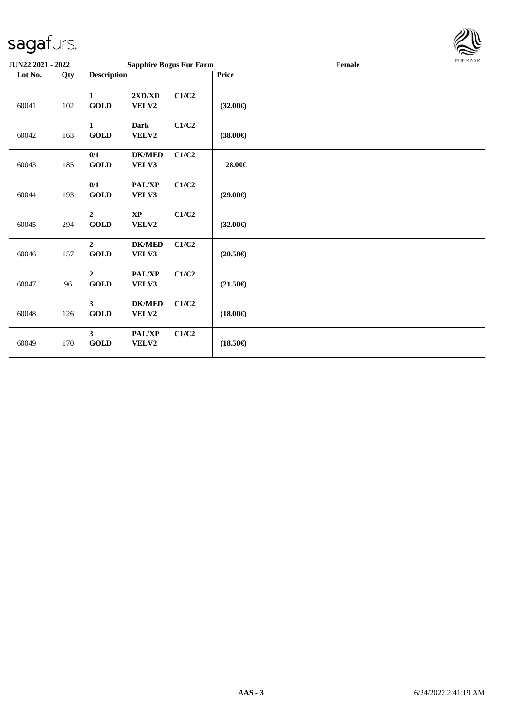

| <b>JUN22 2021 - 2022</b> |     |                                         | <b>Sapphire Bogus Fur Farm</b> |       |                   | Female | <b>FURMARK</b> |
|--------------------------|-----|-----------------------------------------|--------------------------------|-------|-------------------|--------|----------------|
| Lot No.                  | Qty | <b>Description</b>                      |                                |       | Price             |        |                |
| 60041                    | 102 | $\mathbf{1}$<br><b>GOLD</b>             | 2XD/XD<br>VELV2                | C1/C2 | $(32.00\epsilon)$ |        |                |
| 60042                    | 163 | $\mathbf{1}$<br><b>GOLD</b>             | <b>Dark</b><br>VELV2           | C1/C2 | $(38.00\epsilon)$ |        |                |
| 60043                    | 185 | 0/1<br><b>GOLD</b>                      | <b>DK/MED</b><br>VELV3         | C1/C2 | 28.00€            |        |                |
| 60044                    | 193 | 0/1<br>$\operatorname{GOLD}$            | PAL/XP<br>VELV3                | C1/C2 | $(29.00\epsilon)$ |        |                |
| 60045                    | 294 | $\overline{2}$<br>$\operatorname{GOLD}$ | <b>XP</b><br>VELV2             | C1/C2 | $(32.00\epsilon)$ |        |                |
| 60046                    | 157 | $\overline{2}$<br>GOLD                  | <b>DK/MED</b><br>VELV3         | C1/C2 | $(20.50\epsilon)$ |        |                |
| 60047                    | 96  | $\overline{2}$<br><b>GOLD</b>           | PAL/XP<br>VELV3                | C1/C2 | $(21.50\epsilon)$ |        |                |
| 60048                    | 126 | 3 <sup>1</sup><br><b>GOLD</b>           | <b>DK/MED</b><br>VELV2         | C1/C2 | $(18.00\epsilon)$ |        |                |
| 60049                    | 170 | $\mathbf{3}$<br><b>GOLD</b>             | <b>PAL/XP</b><br>VELV2         | C1/C2 | $(18.50\epsilon)$ |        |                |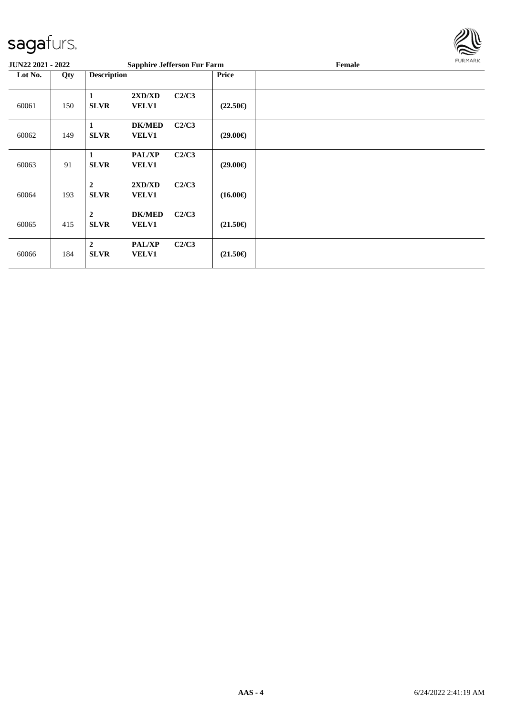

| <b>JUN22 2021 - 2022</b> |     | <b>Sapphire Jefferson Fur Farm</b>                                      |                   | Female | FURMARK |
|--------------------------|-----|-------------------------------------------------------------------------|-------------------|--------|---------|
| Lot No.                  | Qty | <b>Description</b>                                                      | <b>Price</b>      |        |         |
| 60061                    | 150 | C2/C3<br>2XD/XD<br>1<br><b>SLVR</b><br><b>VELV1</b>                     | $(22.50\epsilon)$ |        |         |
| 60062                    | 149 | C2/C3<br><b>DK/MED</b><br>1<br><b>SLVR</b><br><b>VELV1</b>              | $(29.00\epsilon)$ |        |         |
| 60063                    | 91  | C2/C3<br><b>PAL/XP</b><br>1<br><b>SLVR</b><br><b>VELV1</b>              | $(29.00\epsilon)$ |        |         |
| 60064                    | 193 | $\overline{2}$<br>2XD/XD<br>C2/C3<br><b>VELV1</b><br><b>SLVR</b>        | $(16.00\epsilon)$ |        |         |
| 60065                    | 415 | $\overline{2}$<br><b>DK/MED</b><br>C2/C3<br><b>SLVR</b><br><b>VELV1</b> | $(21.50\epsilon)$ |        |         |
| 60066                    | 184 | $\overline{2}$<br>C2/C3<br><b>PAL/XP</b><br><b>SLVR</b><br><b>VELV1</b> | $(21.50\epsilon)$ |        |         |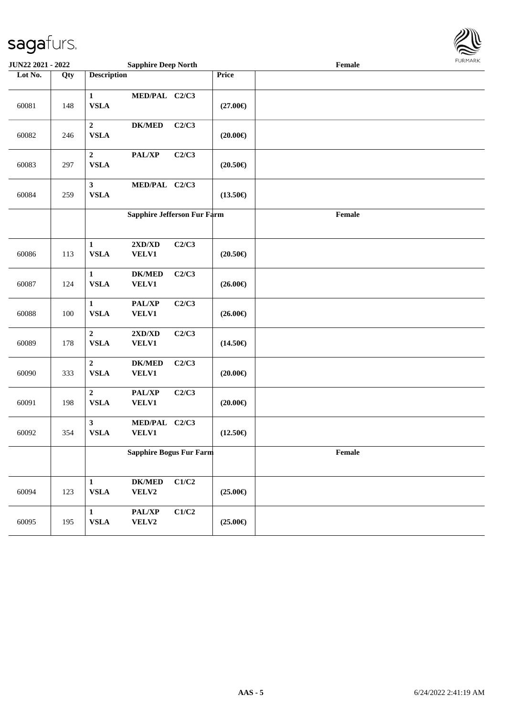

| <b>JUN22 2021 - 2022</b> |     | <b>Sapphire Deep North</b>                                                      |                             | $1 \times 1$<br>$\ensuremath{\textnormal{\textbf{Female}}}$ |  |
|--------------------------|-----|---------------------------------------------------------------------------------|-----------------------------|-------------------------------------------------------------|--|
| Lot No.                  | Qty | <b>Description</b>                                                              | Price                       |                                                             |  |
| 60081                    | 148 | MED/PAL C2/C3<br>$\mathbf{1}$<br><b>VSLA</b>                                    | $(27.00\epsilon)$           |                                                             |  |
| 60082                    | 246 | $\overline{2}$<br><b>DK/MED</b><br><b>VSLA</b>                                  | C2/C3<br>$(20.00\epsilon)$  |                                                             |  |
| 60083                    | 297 | $\boldsymbol{2}$<br>PAL/XP<br><b>VSLA</b>                                       | C2/C3<br>$(20.50\epsilon)$  |                                                             |  |
| 60084                    | 259 | MED/PAL C2/C3<br>$\mathbf{3}$<br><b>VSLA</b>                                    | $(13.50\epsilon)$           |                                                             |  |
|                          |     |                                                                                 | Sapphire Jefferson Fur Farm | Female                                                      |  |
| 60086                    | 113 | $2{\bf X}{\bf D}/{\bf X}{\bf D}$<br>$\mathbf{1}$<br><b>VSLA</b><br><b>VELV1</b> | C2/C3<br>$(20.50\epsilon)$  |                                                             |  |
| 60087                    | 124 | $DK/MED$<br>$\mathbf{1}$<br><b>VSLA</b><br>VELV1                                | C2/C3<br>$(26.00\epsilon)$  |                                                             |  |
| 60088                    | 100 | PAL/XP<br>$\mathbf{1}$<br><b>VSLA</b><br><b>VELV1</b>                           | C2/C3<br>$(26.00\epsilon)$  |                                                             |  |
| 60089                    | 178 | $\boldsymbol{2}$<br>2XD/XD<br><b>VSLA</b><br><b>VELV1</b>                       | C2/C3<br>$(14.50\epsilon)$  |                                                             |  |
| 60090                    | 333 | $\boldsymbol{2}$<br><b>DK/MED</b><br><b>VSLA</b><br><b>VELV1</b>                | C2/C3<br>$(20.00\epsilon)$  |                                                             |  |
| 60091                    | 198 | $\overline{2}$<br>$\mathbf{PAL}/\mathbf{XP}$<br><b>VSLA</b><br><b>VELV1</b>     | C2/C3<br>$(20.00\epsilon)$  |                                                             |  |
| 60092                    | 354 | $\mathbf{3}$<br>MED/PAL C2/C3<br><b>VSLA</b><br><b>VELV1</b>                    | $(12.50\epsilon)$           |                                                             |  |
|                          |     | <b>Sapphire Bogus Fur Farm</b>                                                  |                             | Female                                                      |  |
| 60094                    | 123 | $\mathbf{1}$<br>${\bf DK/MED}$<br><b>VSLA</b><br>VELV2                          | C1/C2<br>$(25.00\epsilon)$  |                                                             |  |
| 60095                    | 195 | PAL/XP<br>$\mathbf{1}$<br>${\bf VSLA}$<br>VELV2                                 | C1/C2<br>$(25.00\epsilon)$  |                                                             |  |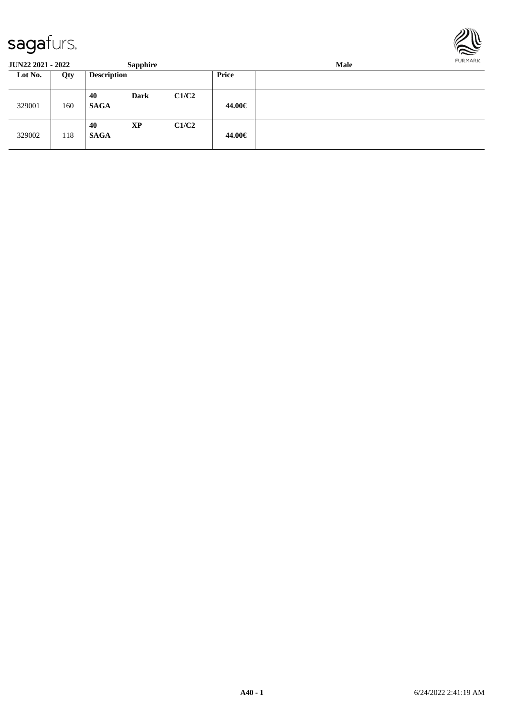

**JUN22 2021 - 2022 Sapphire Male Lot No. Qty Description Price** 329001 160 **40 Dark C1/C2 SAGA 44.00€** 329002 118 **40 XP C1/C2 SAGA 44.00€**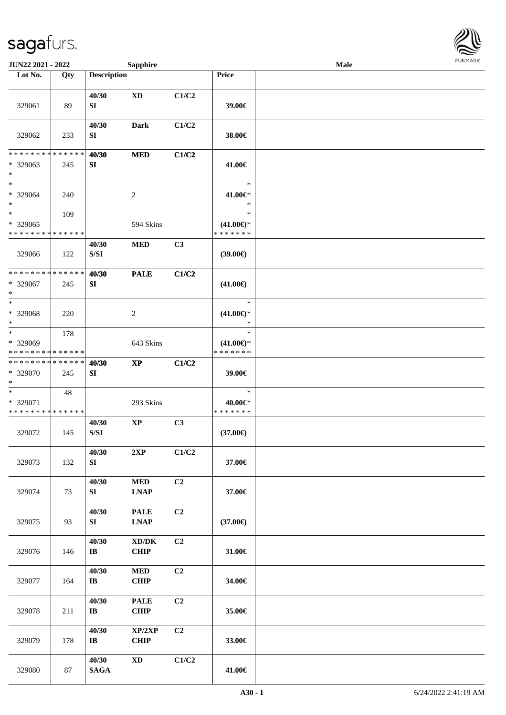

| JUN22 2021 - 2022                       |     |                                                                                                 | <b>Sapphire</b>                                    |                |                                      | Male |  |
|-----------------------------------------|-----|-------------------------------------------------------------------------------------------------|----------------------------------------------------|----------------|--------------------------------------|------|--|
| Lot No.                                 | Qty | <b>Description</b>                                                                              |                                                    |                | Price                                |      |  |
| 329061                                  | 89  | 40/30<br>SI                                                                                     | $\mathbf{X}\mathbf{D}$                             | C1/C2          | 39.00€                               |      |  |
| 329062                                  | 233 | 40/30<br>SI                                                                                     | Dark                                               | C1/C2          | 38.00€                               |      |  |
| * * * * * * * * * * * * * *             |     | 40/30                                                                                           | <b>MED</b>                                         | C1/C2          |                                      |      |  |
| * 329063<br>$\ast$                      | 245 | SI                                                                                              |                                                    |                | 41.00€                               |      |  |
| $\ast$<br>* 329064<br>$\ast$            | 240 |                                                                                                 | $\sqrt{2}$                                         |                | $\ast$<br>41.00€*<br>$\ast$          |      |  |
| $\ast$                                  | 109 |                                                                                                 |                                                    |                | $\ast$                               |      |  |
| * 329065<br>* * * * * * * * * * * * * * |     |                                                                                                 | 594 Skins                                          |                | $(41.00\epsilon)$ *<br>* * * * * * * |      |  |
| 329066                                  | 122 | 40/30<br>$\ensuremath{\mathrm{S}}\xspace/\ensuremath{\mathrm{S}}\xspace\ensuremath{\mathrm{I}}$ | $\bf MED$                                          | C3             | (39.00)                              |      |  |
| ******** <mark>*****</mark> *           |     | 40/30                                                                                           | <b>PALE</b>                                        | C1/C2          |                                      |      |  |
| * 329067<br>$\ast$                      | 245 | SI                                                                                              |                                                    |                | $(41.00\epsilon)$                    |      |  |
| $\ast$                                  |     |                                                                                                 |                                                    |                | $\ast$                               |      |  |
| * 329068<br>$\ast$                      | 220 |                                                                                                 | $\sqrt{2}$                                         |                | $(41.00\epsilon)$ *<br>$\ast$        |      |  |
| $\ast$                                  | 178 |                                                                                                 |                                                    |                | $\ast$                               |      |  |
| * 329069<br>* * * * * * * * * * * * * * |     |                                                                                                 | 643 Skins                                          |                | $(41.00\epsilon)$ *<br>* * * * * * * |      |  |
| * * * * * * * * * * * * * *             |     | 40/30                                                                                           | $\bold{XP}$                                        | C1/C2          |                                      |      |  |
| * 329070<br>$\ast$                      | 245 | SI                                                                                              |                                                    |                | 39.00€                               |      |  |
| $\ast$                                  | 48  |                                                                                                 |                                                    |                | $\ast$                               |      |  |
| * 329071<br>* * * * * * * * * * * * * * |     |                                                                                                 | 293 Skins                                          |                | 40.00€*<br>* * * * * * *             |      |  |
| 329072                                  | 145 | 40/30<br>$\ensuremath{\mathrm{S}}\xspace/\ensuremath{\mathrm{S}}\xspace\ensuremath{\mathrm{I}}$ | $\mathbf{XP}$                                      | C <sub>3</sub> | $(37.00\epsilon)$                    |      |  |
| 329073                                  | 132 | 40/30<br>SI                                                                                     | 2XP                                                | C1/C2          | 37.00€                               |      |  |
| 329074                                  | 73  | 40/30<br>SI                                                                                     | $\bf MED$<br><b>LNAP</b>                           | C2             | 37.00€                               |      |  |
| 329075                                  | 93  | 40/30<br>SI                                                                                     | <b>PALE</b><br><b>LNAP</b>                         | C2             | $(37.00\epsilon)$                    |      |  |
| 329076                                  | 146 | 40/30<br>$\mathbf{I}\mathbf{B}$                                                                 | $\bold{X}\bold{D}/\bold{D}\bold{K}$<br><b>CHIP</b> | C2             | 31.00€                               |      |  |
| 329077                                  | 164 | 40/30<br>$\bf I\bf B$                                                                           | $\bf MED$<br><b>CHIP</b>                           | C2             | 34.00€                               |      |  |
| 329078                                  | 211 | 40/30<br>$\bf I\bf B$                                                                           | <b>PALE</b><br>CHIP                                | C2             | 35.00€                               |      |  |
| 329079                                  | 178 | 40/30<br>$\bf I\bf B$                                                                           | XP/2XP<br><b>CHIP</b>                              | C2             | 33.00€                               |      |  |
| 329080                                  | 87  | 40/30<br><b>SAGA</b>                                                                            | $\mathbf{X}\mathbf{D}$                             | C1/C2          | 41.00€                               |      |  |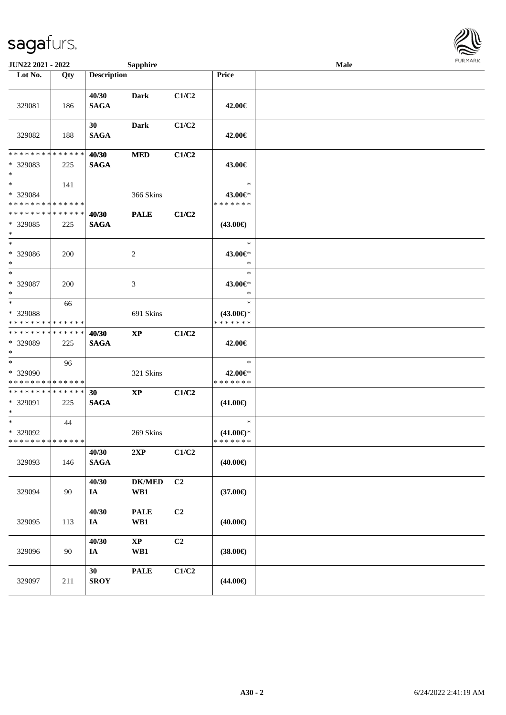| <b>JUN22 2021 - 2022</b>                                           |                    |                      | <b>Sapphire</b>      |       |                                                | Male |  |
|--------------------------------------------------------------------|--------------------|----------------------|----------------------|-------|------------------------------------------------|------|--|
| Lot No.                                                            | Qty                | <b>Description</b>   |                      |       | Price                                          |      |  |
| 329081                                                             | 186                | 40/30<br><b>SAGA</b> | Dark                 | C1/C2 | 42.00€                                         |      |  |
| 329082                                                             | 188                | 30<br><b>SAGA</b>    | Dark                 | C1/C2 | 42.00€                                         |      |  |
| * * * * * * * *<br>* 329083<br>$\ast$                              | * * * * * *<br>225 | 40/30<br><b>SAGA</b> | <b>MED</b>           | C1/C2 | 43.00€                                         |      |  |
| $*$<br>* 329084<br>* * * * * * * * * * * * * *                     | 141                |                      | 366 Skins            |       | $\ast$<br>43.00€*<br>* * * * * * *             |      |  |
| * * * * * * * * * * * * * *<br>* 329085<br>$\ast$                  | 225                | 40/30<br><b>SAGA</b> | <b>PALE</b>          | C1/C2 | $(43.00\epsilon)$                              |      |  |
| $\ast$<br>* 329086<br>$\ast$                                       | 200                |                      | 2                    |       | $\ast$<br>43.00€*<br>$\ast$                    |      |  |
| $\ast$<br>* 329087<br>$\ast$                                       | 200                |                      | 3                    |       | $\ast$<br>43.00€*<br>$\ast$                    |      |  |
| $\ast$<br>* 329088<br>* * * * * * * * <mark>* * * * * * *</mark>   | 66                 |                      | 691 Skins            |       | $\ast$<br>$(43.00€)$ *<br>* * * * * * *        |      |  |
| * * * * * * * * * * * * * *<br>* 329089<br>$\ast$                  | 225                | 40/30<br><b>SAGA</b> | <b>XP</b>            | C1/C2 | 42.00€                                         |      |  |
| * 329090<br>* * * * * * * * <mark>* * * * * *</mark>               | 96                 |                      | 321 Skins            |       | $\ast$<br>42.00€*<br>* * * * * * *             |      |  |
| * * * * * * * * * * * * * * *<br>* 329091<br>$\ast$                | 225                | 30<br><b>SAGA</b>    | <b>XP</b>            | C1/C2 | $(41.00\epsilon)$                              |      |  |
| $\ddot{x}$<br>* 329092<br>* * * * * * * * <mark>* * * * * *</mark> | 44                 |                      | 269 Skins            |       | $\ast$<br>$(41.00\epsilon)$ *<br>* * * * * * * |      |  |
| 329093                                                             | 146                | 40/30<br><b>SAGA</b> | 2XP                  | C1/C2 | $(40.00\epsilon)$                              |      |  |
| 329094                                                             | 90                 | 40/30<br>IA          | <b>DK/MED</b><br>WB1 | C2    | $(37.00\epsilon)$                              |      |  |
| 329095                                                             | 113                | 40/30<br>IA          | <b>PALE</b><br>WB1   | C2    | $(40.00\epsilon)$                              |      |  |
| 329096                                                             | 90                 | 40/30<br>IA          | $\bold{XP}$<br>WB1   | C2    | $(38.00\epsilon)$                              |      |  |
| 329097                                                             | 211                | 30<br><b>SROY</b>    | <b>PALE</b>          | C1/C2 | $(44.00\epsilon)$                              |      |  |

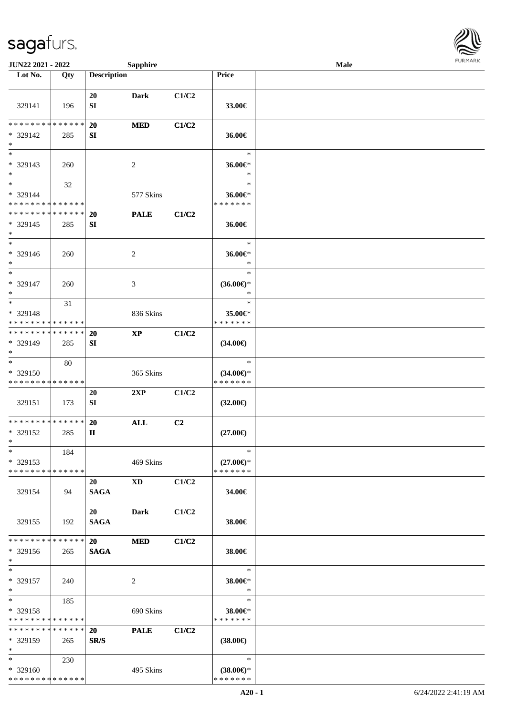

| JUN22 2021 - 2022                                             |     |                          | <b>Sapphire</b> |       |                                                | Male |  |
|---------------------------------------------------------------|-----|--------------------------|-----------------|-------|------------------------------------------------|------|--|
| Lot No.                                                       | Qty | <b>Description</b>       |                 |       | Price                                          |      |  |
| 329141                                                        | 196 | 20<br>${\bf SI}$         | <b>Dark</b>     | C1/C2 | 33.00€                                         |      |  |
| * * * * * * * * * * * * * *<br>* 329142<br>$\ast$             | 285 | 20<br>SI                 | <b>MED</b>      | C1/C2 | 36.00€                                         |      |  |
| $\overline{\ast}$<br>* 329143<br>$\ast$                       | 260 |                          | 2               |       | $\ast$<br>36.00€*<br>$\ast$                    |      |  |
| $\ast$<br>* 329144<br>* * * * * * * * * * * * * *             | 32  |                          | 577 Skins       |       | $\ast$<br>36.00€*<br>* * * * * * *             |      |  |
| * * * * * * * * * * * * * *<br>* 329145<br>$\ast$             | 285 | 20<br>SI                 | <b>PALE</b>     | C1/C2 | 36.00€                                         |      |  |
| $\ast$<br>* 329146<br>$\ast$                                  | 260 |                          | 2               |       | $\ast$<br>36.00€*<br>$\ast$                    |      |  |
| $\ast$<br>* 329147<br>$\ast$                                  | 260 |                          | 3               |       | $\ast$<br>$(36.00\epsilon)$ *<br>$\ast$        |      |  |
| $\ast$<br>* 329148<br>* * * * * * * * * * * * * *             | 31  |                          | 836 Skins       |       | $\ast$<br>35.00€*<br>* * * * * * *             |      |  |
| * * * * * * * * * * * * * *<br>* 329149<br>$\ast$             | 285 | 20<br>SI                 | $\mathbf{XP}$   | C1/C2 | $(34.00\epsilon)$                              |      |  |
| $\ast$<br>* 329150<br>* * * * * * * * * * * * * *             | 80  |                          | 365 Skins       |       | $\ast$<br>$(34.00\epsilon)$ *<br>* * * * * * * |      |  |
| 329151                                                        | 173 | 20<br>${\bf SI}$         | 2XP             | C1/C2 | $(32.00\epsilon)$                              |      |  |
| **************<br>* 329152<br>$*$                             | 285 | 20<br>$\mathbf{I}$       | $\mathbf{ALL}$  | C2    | $(27.00\epsilon)$                              |      |  |
| $\ast$<br>* 329153<br>* * * * * * * * * * * * * *             | 184 |                          | 469 Skins       |       | $\ast$<br>$(27.00\epsilon)$ *<br>* * * * * * * |      |  |
| 329154                                                        | 94  | 20<br><b>SAGA</b>        | XD              | C1/C2 | 34.00€                                         |      |  |
| 329155                                                        | 192 | 20<br><b>SAGA</b>        | Dark            | C1/C2 | 38.00€                                         |      |  |
| * * * * * * * * * * * * * * *<br>* 329156<br>$*$              | 265 | <b>20</b><br><b>SAGA</b> | <b>MED</b>      | C1/C2 | 38.00€                                         |      |  |
| $*$<br>* 329157<br>$*$                                        | 240 |                          | $\sqrt{2}$      |       | $\ast$<br>38.00€*<br>$\ast$                    |      |  |
| $*$<br>* 329158<br>* * * * * * * * <mark>* * * * * * *</mark> | 185 |                          | 690 Skins       |       | $\ast$<br>38.00€*<br>* * * * * * *             |      |  |
| * * * * * * * * * * * * * *<br>* 329159<br>$*$                | 265 | <b>20</b><br>SR/S        | <b>PALE</b>     | C1/C2 | $(38.00\epsilon)$                              |      |  |
| $*$<br>* 329160<br>* * * * * * * * * * * * * *                | 230 |                          | 495 Skins       |       | $\ast$<br>$(38.00\epsilon)$ *<br>* * * * * * * |      |  |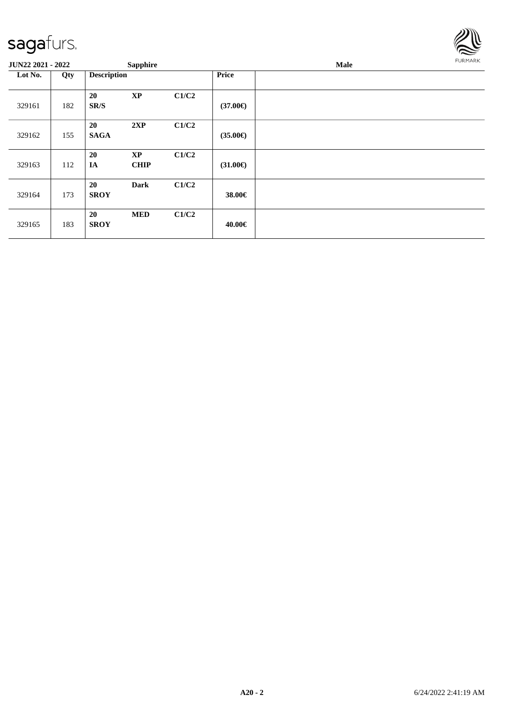

| JUN22 2021 - 2022 |     |                    | <b>Sapphire</b>          |       |                   | <b>FURMARK</b><br>Male |  |  |
|-------------------|-----|--------------------|--------------------------|-------|-------------------|------------------------|--|--|
| Lot No.           | Qty | <b>Description</b> |                          |       | Price             |                        |  |  |
| 329161            | 182 | 20<br>SR/S         | $\bold{XP}$              | C1/C2 | $(37.00\epsilon)$ |                        |  |  |
| 329162            | 155 | 20<br><b>SAGA</b>  | 2XP                      | C1/C2 | $(35.00\epsilon)$ |                        |  |  |
| 329163            | 112 | 20<br>IA           | <b>XP</b><br><b>CHIP</b> | C1/C2 | $(31.00\epsilon)$ |                        |  |  |
| 329164            | 173 | 20<br><b>SROY</b>  | <b>Dark</b>              | C1/C2 | 38.00€            |                        |  |  |
| 329165            | 183 | 20<br><b>SROY</b>  | <b>MED</b>               | C1/C2 | 40.00€            |                        |  |  |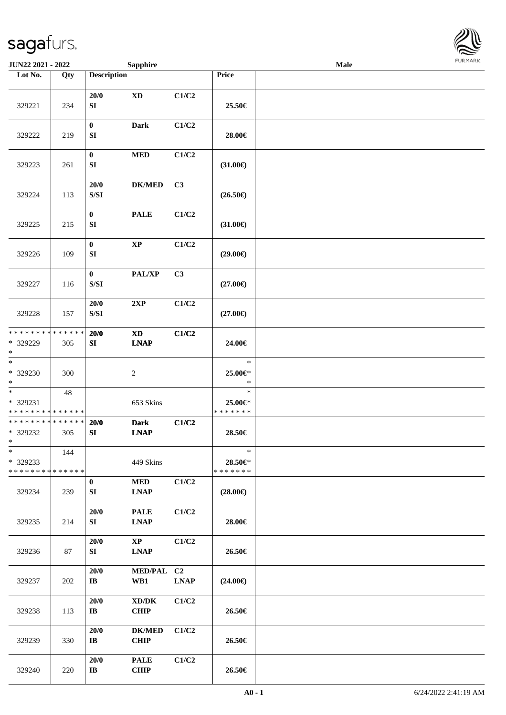

| JUN22 2021 - 2022                                 |     |                                                                                                    | <b>Sapphire</b>                             |             |                                    | <b>Male</b> |  |
|---------------------------------------------------|-----|----------------------------------------------------------------------------------------------------|---------------------------------------------|-------------|------------------------------------|-------------|--|
| Lot No.                                           | Qty | <b>Description</b>                                                                                 |                                             |             | Price                              |             |  |
| 329221                                            | 234 | 20/0<br>SI                                                                                         | <b>XD</b>                                   | C1/C2       | 25.50€                             |             |  |
| 329222                                            | 219 | $\bf{0}$<br>SI                                                                                     | <b>Dark</b>                                 | C1/C2       | 28.00€                             |             |  |
| 329223                                            | 261 | $\boldsymbol{0}$<br>SI                                                                             | <b>MED</b>                                  | C1/C2       | $(31.00\epsilon)$                  |             |  |
| 329224                                            | 113 | 20/0<br>$\ensuremath{\mathrm{S}}\xspace/\ensuremath{\mathrm{S}}\xspace\ensuremath{\mathrm{I}}$     | <b>DK/MED</b>                               | C3          | $(26.50\in)$                       |             |  |
| 329225                                            | 215 | $\bf{0}$<br>SI                                                                                     | <b>PALE</b>                                 | C1/C2       | $(31.00\epsilon)$                  |             |  |
| 329226                                            | 109 | $\boldsymbol{0}$<br>SI                                                                             | $\bold{XP}$                                 | C1/C2       | $(29.00\epsilon)$                  |             |  |
| 329227                                            | 116 | $\bf{0}$<br>$\ensuremath{\mathrm{S}}\xspace/\ensuremath{\mathrm{S}}\xspace\ensuremath{\mathrm{I}}$ | PAL/XP                                      | C3          | $(27.00\epsilon)$                  |             |  |
| 329228                                            | 157 | 20/0<br>$\ensuremath{\mathrm{S}}\xspace/\ensuremath{\mathrm{S}}\xspace\ensuremath{\mathrm{I}}$     | 2XP                                         | C1/C2       | $(27.00\in)$                       |             |  |
| * * * * * * * * * * * * * *<br>* 329229<br>$*$    | 305 | 20/0<br>SI                                                                                         | <b>XD</b><br><b>LNAP</b>                    | C1/C2       | 24.00€                             |             |  |
| $\ast$<br>* 329230<br>$*$                         | 300 |                                                                                                    | $\boldsymbol{2}$                            |             | $\ast$<br>25.00€*<br>$\ast$        |             |  |
| $*$<br>* 329231<br>* * * * * * * * * * * * * *    | 48  |                                                                                                    | 653 Skins                                   |             | $\ast$<br>25.00€*<br>* * * * * * * |             |  |
| * * * * * * * * * * * * * *<br>* 329232<br>$*$    | 305 | 20/0<br>SI                                                                                         | <b>Dark</b><br><b>LNAP</b>                  | C1/C2       | 28.50€                             |             |  |
| $\ast$<br>* 329233<br>* * * * * * * * * * * * * * | 144 |                                                                                                    | 449 Skins                                   |             | $\ast$<br>28.50€*<br>* * * * * * * |             |  |
| 329234                                            | 239 | $\bf{0}$<br>SI                                                                                     | <b>MED</b><br><b>LNAP</b>                   | C1/C2       | $(28.00\in)$                       |             |  |
| 329235                                            | 214 | 20/0<br>SI                                                                                         | <b>PALE</b><br><b>LNAP</b>                  | C1/C2       | 28.00€                             |             |  |
| 329236                                            | 87  | $20/0$<br>SI                                                                                       | $\mathbf{X}\mathbf{P}$<br><b>LNAP</b>       | C1/C2       | 26.50€                             |             |  |
| 329237                                            | 202 | $20/0$<br>$\mathbf{I}$ <b>B</b>                                                                    | MED/PAL C2<br>WB1                           | <b>LNAP</b> | $(24.00\epsilon)$                  |             |  |
| 329238                                            | 113 | 20/0<br>$\bf IB$                                                                                   | $\bold{X}\bold{D}/\bold{D}\bold{K}$<br>CHIP | C1/C2       | 26.50€                             |             |  |
| 329239                                            | 330 | 20/0<br>$\mathbf{I}\mathbf{B}$                                                                     | <b>DK/MED</b><br>CHIP                       | C1/C2       | 26.50€                             |             |  |
| 329240                                            | 220 | 20/0<br>$\mathbf{I}\mathbf{B}$                                                                     | <b>PALE</b><br><b>CHIP</b>                  | C1/C2       | 26.50€                             |             |  |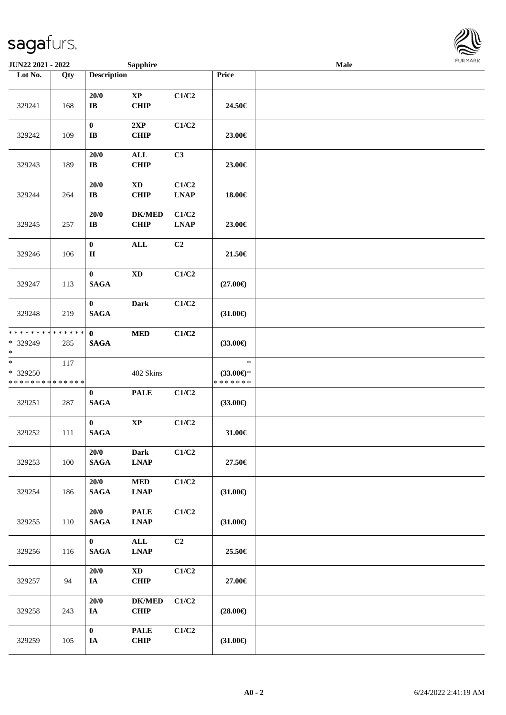| <b>JUN22 2021 - 2022</b>                          |                    |                                     | <b>Sapphire</b>                                    |                      |                                                | <b>Male</b> |  |
|---------------------------------------------------|--------------------|-------------------------------------|----------------------------------------------------|----------------------|------------------------------------------------|-------------|--|
| Lot No.                                           | Qty                | <b>Description</b>                  |                                                    |                      | Price                                          |             |  |
| 329241                                            | 168                | 20/0<br>$\bf{IB}$                   | $\bold{XP}$<br><b>CHIP</b>                         | C1/C2                | 24.50€                                         |             |  |
| 329242                                            | 109                | $\pmb{0}$<br>$\mathbf{I}\mathbf{B}$ | 2XP<br><b>CHIP</b>                                 | C1/C2                | 23.00€                                         |             |  |
| 329243                                            | 189                | 20/0<br>$\bf IB$                    | $\mathbf{ALL}$<br><b>CHIP</b>                      | C3                   | 23.00€                                         |             |  |
| 329244                                            | 264                | 20/0<br>$\bf{IB}$                   | $\mathbf{X}\mathbf{D}$<br><b>CHIP</b>              | C1/C2<br><b>LNAP</b> | 18.00€                                         |             |  |
| 329245                                            | 257                | 20/0<br>$\bf I\bf B$                | <b>DK/MED</b><br><b>CHIP</b>                       | C1/C2<br><b>LNAP</b> | 23.00€                                         |             |  |
| 329246                                            | 106                | $\boldsymbol{0}$<br>$\rm II$        | <b>ALL</b>                                         | C2                   | 21.50€                                         |             |  |
| 329247                                            | 113                | $\bf{0}$<br><b>SAGA</b>             | $\mathbf{X}\mathbf{D}$                             | C1/C2                | $(27.00\epsilon)$                              |             |  |
| 329248                                            | 219                | $\bf{0}$<br><b>SAGA</b>             | <b>Dark</b>                                        | C1/C2                | $(31.00\epsilon)$                              |             |  |
| * * * * * * * *<br>* 329249<br>$\ast$             | * * * * * *<br>285 | $\mathbf{0}$<br><b>SAGA</b>         | $\bf MED$                                          | C1/C2                | $(33.00\epsilon)$                              |             |  |
| $\ast$<br>* 329250<br>* * * * * * * * * * * * * * | 117                |                                     | 402 Skins                                          |                      | $\ast$<br>$(33.00\epsilon)$ *<br>* * * * * * * |             |  |
| 329251                                            | 287                | $\bf{0}$<br><b>SAGA</b>             | <b>PALE</b>                                        | C1/C2                | $(33.00\epsilon)$                              |             |  |
| 329252                                            | 111                | $\mathbf{0}$<br><b>SAGA</b>         | $\bold{XP}$                                        | C1/C2                | 31.00€                                         |             |  |
| 329253                                            | 100                | 20/0<br>$\mathbf{SAGA}$             | <b>Dark</b><br><b>LNAP</b>                         | C1/C2                | 27.50€                                         |             |  |
| 329254                                            | 186                | 20/0<br><b>SAGA</b>                 | $\bf MED$<br><b>LNAP</b>                           | C1/C2                | $(31.00\epsilon)$                              |             |  |
| 329255                                            | 110                | 20/0<br><b>SAGA</b>                 | <b>PALE</b><br>$\ensuremath{\text{L}N\!AP}\xspace$ | C1/C2                | $(31.00\epsilon)$                              |             |  |
| 329256                                            | 116                | $\mathbf{0}$<br>$\mathbf{SAGA}$     | $\mathbf{ALL}$<br>$\ensuremath{\text{L}N\!AP}$     | C2                   | 25.50€                                         |             |  |
| 329257                                            | 94                 | 20/0<br>IA                          | $\boldsymbol{\mathrm{XD}}$<br><b>CHIP</b>          | C1/C2                | 27.00€                                         |             |  |
| 329258                                            | 243                | 20/0<br>IA                          | <b>DK/MED</b><br><b>CHIP</b>                       | C1/C2                | $(28.00\epsilon)$                              |             |  |
| 329259                                            | 105                | $\boldsymbol{0}$<br>$I\!\!A$        | <b>PALE</b><br>CHIP                                | C1/C2                | $(31.00\epsilon)$                              |             |  |

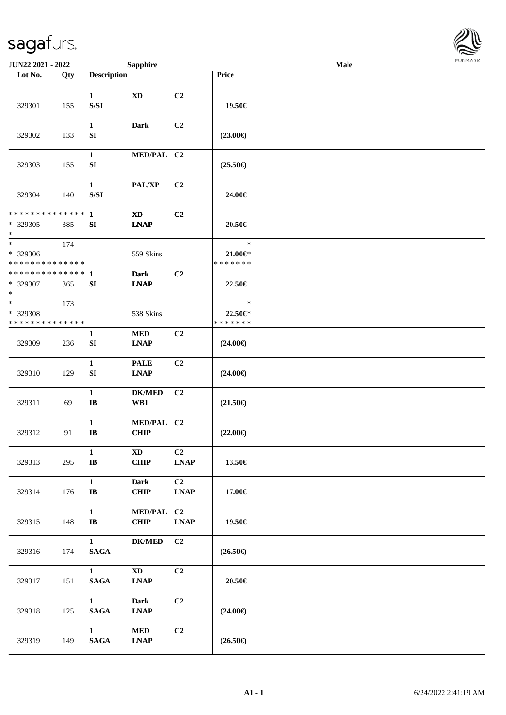

| <b>JUN22 2021 - 2022</b>                                      |     |                                                                                                        | <b>Sapphire</b>                       |                               |                                        | Male |  |
|---------------------------------------------------------------|-----|--------------------------------------------------------------------------------------------------------|---------------------------------------|-------------------------------|----------------------------------------|------|--|
| Lot No.                                                       | Qty | <b>Description</b>                                                                                     |                                       |                               | Price                                  |      |  |
| 329301                                                        | 155 | $\mathbf{1}$<br>$\ensuremath{\mathrm{S}}\xspace/\ensuremath{\mathrm{S}}\xspace\ensuremath{\mathrm{I}}$ | $\mathbf{X}\mathbf{D}$                | C2                            | 19.50€                                 |      |  |
| 329302                                                        | 133 | $\mathbf{1}$<br>${\bf SI}$                                                                             | <b>Dark</b>                           | C2                            | $(23.00\epsilon)$                      |      |  |
| 329303                                                        | 155 | $\mathbf{1}$<br>SI                                                                                     | MED/PAL C2                            |                               | $(25.50\epsilon)$                      |      |  |
| 329304                                                        | 140 | $\mathbf{1}$<br>$\ensuremath{\mathrm{S}}\xspace/\ensuremath{\mathrm{S}}\xspace\ensuremath{\mathrm{I}}$ | PAL/XP                                | C <sub>2</sub>                | 24.00€                                 |      |  |
| * * * * * * * * * * * * * *<br>* 329305<br>$\ast$             | 385 | $\mathbf{1}$<br>SI                                                                                     | <b>XD</b><br><b>LNAP</b>              | C <sub>2</sub>                | 20.50€                                 |      |  |
| $*$<br>* 329306<br>* * * * * * * * <mark>* * * * * * *</mark> | 174 |                                                                                                        | 559 Skins                             |                               | $\ast$<br>$21.00 \in$<br>* * * * * * * |      |  |
| * * * * * * * * * * * * * * *<br>* 329307<br>$*$              | 365 | 1<br>SI                                                                                                | <b>Dark</b><br><b>LNAP</b>            | C <sub>2</sub>                | 22.50€                                 |      |  |
| $*$<br>* 329308<br>* * * * * * * * * * * * * *                | 173 |                                                                                                        | 538 Skins                             |                               | $\ast$<br>22.50€*<br>* * * * * * *     |      |  |
| 329309                                                        | 236 | $\mathbf{1}$<br>SI                                                                                     | <b>MED</b><br><b>LNAP</b>             | C <sub>2</sub>                | $(24.00\epsilon)$                      |      |  |
| 329310                                                        | 129 | $\mathbf{1}$<br>${\bf SI}$                                                                             | <b>PALE</b><br><b>LNAP</b>            | C <sub>2</sub>                | $(24.00\epsilon)$                      |      |  |
| 329311                                                        | 69  | $\mathbf{1}$<br>$\mathbf{I}\mathbf{B}$                                                                 | <b>DK/MED</b><br>WB1                  | C <sub>2</sub>                | $(21.50\epsilon)$                      |      |  |
| 329312                                                        | 91  | $\mathbf{1}$<br>$\bf{IB}$                                                                              | MED/PAL C2<br><b>CHIP</b>             |                               | $(22.00\epsilon)$                      |      |  |
| 329313                                                        | 295 | $\mathbf{1}$<br>$\bf I\bf B$                                                                           | $\mathbf{X}\mathbf{D}$<br><b>CHIP</b> | C <sub>2</sub><br><b>LNAP</b> | 13.50€                                 |      |  |
| 329314                                                        | 176 | $\mathbf{1}$<br>$\mathbf{I}\mathbf{B}$                                                                 | <b>Dark</b><br><b>CHIP</b>            | C <sub>2</sub><br><b>LNAP</b> | 17.00€                                 |      |  |
| 329315                                                        | 148 | $\mathbf{1}$<br>$\mathbf{I}\mathbf{B}$                                                                 | MED/PAL C2<br><b>CHIP</b>             | <b>LNAP</b>                   | 19.50€                                 |      |  |
| 329316                                                        | 174 | $\mathbf{1}$<br>$\mathbf{SAGA}$                                                                        | <b>DK/MED</b>                         | C2                            | $(26.50\epsilon)$                      |      |  |
| 329317                                                        | 151 | $\mathbf{1}$<br><b>SAGA</b>                                                                            | $\mathbf{X}\mathbf{D}$<br><b>LNAP</b> | C2                            | 20.50€                                 |      |  |
| 329318                                                        | 125 | $\mathbf{1}$<br><b>SAGA</b>                                                                            | <b>Dark</b><br><b>LNAP</b>            | C2                            | $(24.00\epsilon)$                      |      |  |
| 329319                                                        | 149 | $\mathbf{1}$<br>$\mathbf{SAGA}$                                                                        | <b>MED</b><br><b>LNAP</b>             | C2                            | $(26.50\epsilon)$                      |      |  |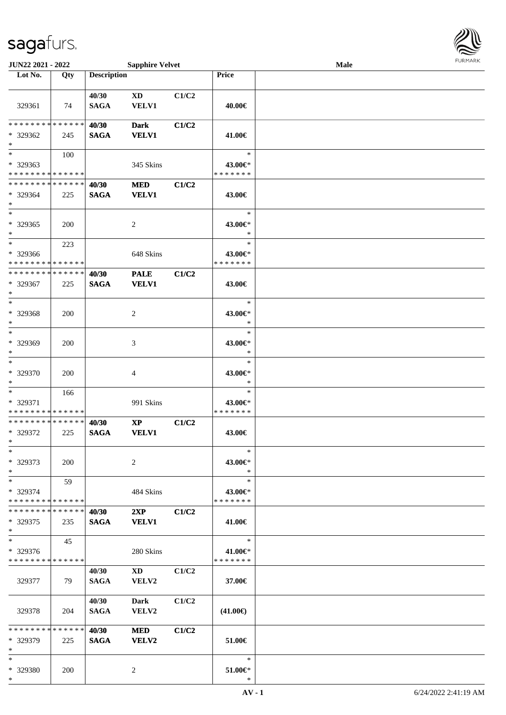

| JUN22 2021 - 2022                                 |                    |                      | <b>Sapphire Velvet</b>          |       |                                    | <b>Male</b> |  |
|---------------------------------------------------|--------------------|----------------------|---------------------------------|-------|------------------------------------|-------------|--|
| Lot No.                                           | Qty                | <b>Description</b>   |                                 |       | Price                              |             |  |
| 329361                                            | 74                 | 40/30<br><b>SAGA</b> | <b>XD</b><br><b>VELV1</b>       | C1/C2 | 40.00€                             |             |  |
| * * * * * * * * * * * * * *<br>* 329362<br>$\ast$ | 245                | 40/30<br><b>SAGA</b> | <b>Dark</b><br><b>VELV1</b>     | C1/C2 | 41.00€                             |             |  |
| $*$<br>* 329363<br>* * * * * * * * * * * * * *    | 100                |                      | 345 Skins                       |       | $\ast$<br>43.00€*<br>* * * * * * * |             |  |
| * * * * * * * * * * * * * *<br>* 329364<br>$*$    | 225                | 40/30<br><b>SAGA</b> | <b>MED</b><br><b>VELV1</b>      | C1/C2 | 43.00€                             |             |  |
| $\ast$<br>$* 329365$<br>$\ast$                    | 200                |                      | $\overline{c}$                  |       | $\ast$<br>43.00€*<br>$\ast$        |             |  |
| $*$<br>* 329366<br>* * * * * * * * * * * * * *    | 223                |                      | 648 Skins                       |       | $\ast$<br>43.00€*<br>* * * * * * * |             |  |
| * * * * * * * * * * * * * *<br>* 329367<br>$*$    | 225                | 40/30<br><b>SAGA</b> | <b>PALE</b><br><b>VELV1</b>     | C1/C2 | 43.00€                             |             |  |
| $*$<br>* 329368<br>$\ast$                         | 200                |                      | $\overline{c}$                  |       | $\ast$<br>43.00€*<br>$\ast$        |             |  |
| $*$<br>* 329369<br>$\ast$                         | 200                |                      | 3                               |       | $\ast$<br>43.00€*<br>$\ast$        |             |  |
| $\ast$<br>* 329370<br>$*$                         | 200                |                      | 4                               |       | $\ast$<br>43.00€*<br>*             |             |  |
| $\ast$<br>* 329371<br>* * * * * * * * * * * * * * | 166                |                      | 991 Skins                       |       | $\ast$<br>43.00€*<br>* * * * * * * |             |  |
| * * * * * * * * * * * * * *<br>* 329372<br>$*$    | 225                | 40/30<br><b>SAGA</b> | $\mathbf{XP}$<br><b>VELV1</b>   | C1/C2 | 43.00€                             |             |  |
| $\ast$<br>* 329373<br>$*$                         | 200                |                      | 2                               |       | $\ast$<br>43.00€*<br>$\ast$        |             |  |
| $*$<br>* 329374<br>* * * * * * * * * * * * * *    | 59                 |                      | 484 Skins                       |       | $\ast$<br>43.00€*<br>* * * * * * * |             |  |
| * * * * * * * *<br>* 329375<br>$*$                | ******<br>235      | 40/30<br><b>SAGA</b> | 2XP<br><b>VELV1</b>             | C1/C2 | 41.00€                             |             |  |
| $*$<br>* 329376<br>* * * * * * * * * * * * * *    | 45                 |                      | 280 Skins                       |       | $\ast$<br>41.00€*<br>* * * * * * * |             |  |
| 329377                                            | 79                 | 40/30<br><b>SAGA</b> | $\mathbf{X}\mathbf{D}$<br>VELV2 | C1/C2 | 37.00€                             |             |  |
| 329378                                            | 204                | 40/30<br><b>SAGA</b> | Dark<br>VELV2                   | C1/C2 | $(41.00\epsilon)$                  |             |  |
| * * * * * * * *<br>* 329379<br>$*$                | * * * * * *<br>225 | 40/30<br><b>SAGA</b> | <b>MED</b><br>VELV2             | C1/C2 | 51.00€                             |             |  |
| $*$<br>* 329380<br>$*$                            | 200                |                      | 2                               |       | $\ast$<br>51.00€*<br>$\ast$        |             |  |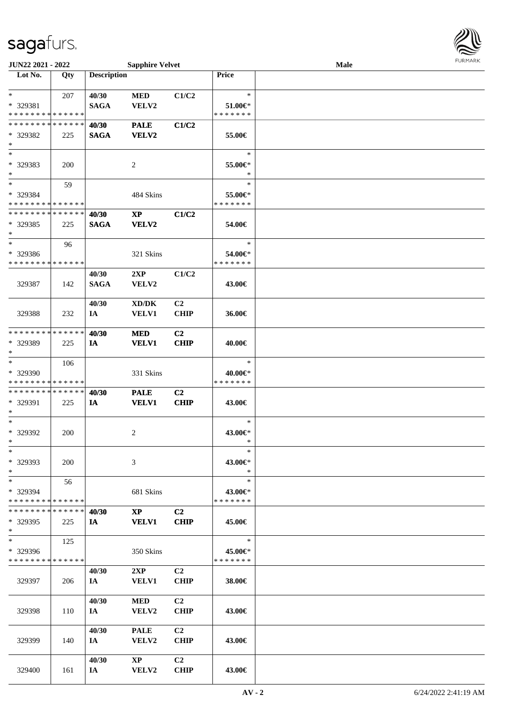

| JUN22 2021 - 2022             |     |                    | <b>Sapphire Velvet</b>              |                |               | Male | $1$ $0.1$ $1.$ $1.$ $1.$ $0.$ |
|-------------------------------|-----|--------------------|-------------------------------------|----------------|---------------|------|-------------------------------|
| Lot No.                       | Qty | <b>Description</b> |                                     |                | Price         |      |                               |
|                               |     |                    |                                     |                |               |      |                               |
| $\ast$                        | 207 | 40/30              | $\bf MED$                           | C1/C2          | $\ast$        |      |                               |
| * 329381                      |     | <b>SAGA</b>        | VELV2                               |                | $51.00 \in$   |      |                               |
| * * * * * * * * * * * * * *   |     |                    |                                     |                | * * * * * * * |      |                               |
| * * * * * * * * * * * * * *   |     | 40/30              | <b>PALE</b>                         | C1/C2          |               |      |                               |
| * 329382                      | 225 | <b>SAGA</b>        | VELV2                               |                | 55.00€        |      |                               |
| $\ast$                        |     |                    |                                     |                |               |      |                               |
| $\ast$                        |     |                    |                                     |                | $\ast$        |      |                               |
| * 329383                      | 200 |                    | 2                                   |                | 55.00€*       |      |                               |
| $\ast$                        |     |                    |                                     |                | $\ast$        |      |                               |
| $\ast$                        | 59  |                    |                                     |                | $\ast$        |      |                               |
| * 329384                      |     |                    | 484 Skins                           |                | 55.00€*       |      |                               |
| * * * * * * * * * * * * * *   |     |                    |                                     |                | * * * * * * * |      |                               |
| * * * * * * * * * * * * * *   |     | 40/30              | $\bold{X}\bold{P}$                  | C1/C2          |               |      |                               |
| * 329385                      | 225 | <b>SAGA</b>        | <b>VELV2</b>                        |                | 54.00€        |      |                               |
| $\ast$                        |     |                    |                                     |                |               |      |                               |
| $\ast$                        | 96  |                    |                                     |                | $\ast$        |      |                               |
| * 329386                      |     |                    | 321 Skins                           |                | 54.00€*       |      |                               |
| * * * * * * * * * * * * * *   |     |                    |                                     |                | * * * * * * * |      |                               |
|                               |     | 40/30              | 2XP                                 | C1/C2          |               |      |                               |
| 329387                        | 142 | <b>SAGA</b>        | VELV2                               |                | 43.00€        |      |                               |
|                               |     |                    |                                     |                |               |      |                               |
|                               |     | 40/30              | $\bold{X}\bold{D}/\bold{D}\bold{K}$ | C <sub>2</sub> |               |      |                               |
| 329388                        | 232 | IA                 | <b>VELV1</b>                        | <b>CHIP</b>    | 36.00€        |      |                               |
| * * * * * * * * * * * * * *   |     |                    |                                     |                |               |      |                               |
|                               |     | 40/30              | <b>MED</b>                          | C <sub>2</sub> |               |      |                               |
| * 329389<br>$\ast$            | 225 | IA                 | <b>VELV1</b>                        | <b>CHIP</b>    | 40.00€        |      |                               |
| $\ast$                        | 106 |                    |                                     |                | $\ast$        |      |                               |
| * 329390                      |     |                    |                                     |                | 40.00€*       |      |                               |
| * * * * * * * * * * * * * *   |     |                    | 331 Skins                           |                | * * * * * * * |      |                               |
| * * * * * * * * * * * * * *   |     | 40/30              | <b>PALE</b>                         | C <sub>2</sub> |               |      |                               |
| * 329391                      | 225 | IA                 | <b>VELV1</b>                        | <b>CHIP</b>    | 43.00€        |      |                               |
| $\ast$                        |     |                    |                                     |                |               |      |                               |
| $\ast$                        |     |                    |                                     |                | $\ast$        |      |                               |
| $*329392$                     | 200 |                    | 2                                   |                | 43.00€*       |      |                               |
| $*$                           |     |                    |                                     |                | *             |      |                               |
| $\ast$                        |     |                    |                                     |                | $\ast$        |      |                               |
| * 329393                      | 200 |                    | 3                                   |                | 43.00€*       |      |                               |
| $*$                           |     |                    |                                     |                | $\ast$        |      |                               |
| $\ast$                        | 56  |                    |                                     |                | $\ast$        |      |                               |
| * 329394                      |     |                    | 681 Skins                           |                | 43.00€*       |      |                               |
| * * * * * * * * * * * * * *   |     |                    |                                     |                | * * * * * * * |      |                               |
| * * * * * * * * * * * * * * * |     | 40/30              | $\mathbf{X}\mathbf{P}$              | C <sub>2</sub> |               |      |                               |
| * 329395                      | 225 | IA                 | <b>VELV1</b>                        | <b>CHIP</b>    | 45.00€        |      |                               |
| $*$                           |     |                    |                                     |                |               |      |                               |
| $\ast$                        | 125 |                    |                                     |                | $\ast$        |      |                               |
| * 329396                      |     |                    | 350 Skins                           |                | 45.00€*       |      |                               |
| * * * * * * * * * * * * * *   |     |                    |                                     |                | * * * * * * * |      |                               |
|                               |     | 40/30              | 2XP                                 | C <sub>2</sub> |               |      |                               |
| 329397                        | 206 | IA —               | <b>VELV1</b>                        | <b>CHIP</b>    | 38.00€        |      |                               |
|                               |     |                    |                                     |                |               |      |                               |
|                               |     | 40/30              | <b>MED</b>                          | C <sub>2</sub> |               |      |                               |
| 329398                        | 110 | IA                 | <b>VELV2</b>                        | <b>CHIP</b>    | 43.00€        |      |                               |
|                               |     |                    |                                     |                |               |      |                               |
|                               |     | 40/30              | <b>PALE</b>                         | C <sub>2</sub> |               |      |                               |
| 329399                        | 140 | IA —               | VELV2                               | <b>CHIP</b>    | 43.00€        |      |                               |
|                               |     |                    |                                     |                |               |      |                               |
|                               |     | 40/30              | XP                                  | C <sub>2</sub> |               |      |                               |
| 329400                        | 161 | IA                 | VELV2                               | <b>CHIP</b>    | 43.00€        |      |                               |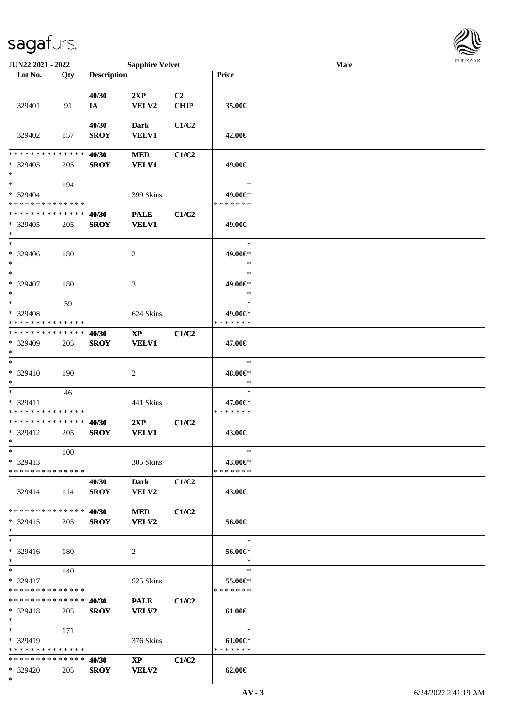\*



| JUN22 2021 - 2022                             |             |                    | <b>Sapphire Velvet</b> |             |                          | Male |  |
|-----------------------------------------------|-------------|--------------------|------------------------|-------------|--------------------------|------|--|
| Lot No.                                       | Qty         | <b>Description</b> |                        |             | Price                    |      |  |
|                                               |             |                    |                        |             |                          |      |  |
|                                               |             | 40/30              | 2XP                    | C2          |                          |      |  |
| 329401                                        | 91          | IA                 | VELV2                  | <b>CHIP</b> | 35.00€                   |      |  |
|                                               |             |                    |                        |             |                          |      |  |
|                                               |             | 40/30              | <b>Dark</b>            | C1/C2       |                          |      |  |
| 329402                                        | 157         | <b>SROY</b>        | <b>VELV1</b>           |             | 42.00€                   |      |  |
|                                               |             |                    |                        |             |                          |      |  |
| * * * * * * * *                               | * * * * * * | 40/30              | <b>MED</b>             | C1/C2       |                          |      |  |
| * 329403                                      | 205         | <b>SROY</b>        | <b>VELV1</b>           |             | 49.00€                   |      |  |
| $\ast$                                        |             |                    |                        |             |                          |      |  |
| $\ast$                                        | 194         |                    |                        |             | $\ast$                   |      |  |
| * 329404                                      |             |                    | 399 Skins              |             | 49.00€*                  |      |  |
| * * * * * * * * * * * * * *                   |             |                    |                        |             | * * * * * * *            |      |  |
| * * * * * * * * * * * * * *                   |             | 40/30              | <b>PALE</b>            | C1/C2       |                          |      |  |
| * 329405                                      | 205         | <b>SROY</b>        | <b>VELV1</b>           |             | 49.00€                   |      |  |
| $\ast$                                        |             |                    |                        |             |                          |      |  |
| $\ast$                                        |             |                    |                        |             | $\ast$                   |      |  |
| * 329406                                      | 180         |                    | 2                      |             | 49.00€*                  |      |  |
| $\ast$                                        |             |                    |                        |             | $\ast$                   |      |  |
| $\ast$                                        |             |                    |                        |             | $\ast$                   |      |  |
| * 329407                                      | 180         |                    | 3                      |             | 49.00€*                  |      |  |
| $\ast$                                        |             |                    |                        |             | $\ast$                   |      |  |
| $\ast$                                        | 59          |                    |                        |             | $\ast$                   |      |  |
| * 329408                                      |             |                    | 624 Skins              |             | 49.00€*                  |      |  |
| * * * * * * * * * * * * * *                   |             |                    |                        |             | * * * * * * *            |      |  |
| * * * * * * * * * * * * * *                   |             | 40/30              | <b>XP</b>              | C1/C2       |                          |      |  |
| * 329409                                      | 205         | <b>SROY</b>        | <b>VELV1</b>           |             | 47.00€                   |      |  |
| $\ast$                                        |             |                    |                        |             |                          |      |  |
| $\ast$                                        |             |                    |                        |             | $\ast$                   |      |  |
| * 329410                                      | 190         |                    | $\boldsymbol{2}$       |             | 48.00€*                  |      |  |
| $\ast$                                        |             |                    |                        |             | $\ast$                   |      |  |
| $\ast$                                        | 46          |                    |                        |             | $\ast$                   |      |  |
| * 329411                                      |             |                    | 441 Skins              |             | 47.00€*<br>* * * * * * * |      |  |
| * * * * * * * * * * * * * *<br>************** |             |                    |                        |             |                          |      |  |
| * 329412                                      |             | 40/30              | 2XP<br><b>VELV1</b>    | C1/C2       |                          |      |  |
| $*$                                           | 205         | <b>SROY</b>        |                        |             | 43.00€                   |      |  |
| $\ast$                                        | 100         |                    |                        |             | $\ast$                   |      |  |
| $* 329413$                                    |             |                    |                        |             | 43.00€*                  |      |  |
| * * * * * * * * * * * * * *                   |             |                    | 305 Skins              |             | * * * * * * *            |      |  |
|                                               |             | 40/30              |                        | C1/C2       |                          |      |  |
| 329414                                        |             |                    | <b>Dark</b>            |             | 43.00€                   |      |  |
|                                               | 114         | <b>SROY</b>        | <b>VELV2</b>           |             |                          |      |  |
| * * * * * * * * * * * * * *                   |             | 40/30              | <b>MED</b>             | C1/C2       |                          |      |  |
| $* 329415$                                    | 205         | <b>SROY</b>        | <b>VELV2</b>           |             | 56.00€                   |      |  |
| $*$                                           |             |                    |                        |             |                          |      |  |
| $\ast$                                        |             |                    |                        |             | $\ast$                   |      |  |
| $* 329416$                                    | 180         |                    | 2                      |             | 56.00€*                  |      |  |
| $*$                                           |             |                    |                        |             | $\ast$                   |      |  |
| $*$                                           | 140         |                    |                        |             | $\ast$                   |      |  |
| * 329417                                      |             |                    | 525 Skins              |             | 55.00€*                  |      |  |
| * * * * * * * * * * * * * *                   |             |                    |                        |             | * * * * * * *            |      |  |
| * * * * * * * * * * * * * *                   |             | 40/30              | <b>PALE</b>            | C1/C2       |                          |      |  |
| * 329418                                      | 205         | <b>SROY</b>        | <b>VELV2</b>           |             | 61.00€                   |      |  |
| $*$                                           |             |                    |                        |             |                          |      |  |
| $\ast$                                        | 171         |                    |                        |             | $\ast$                   |      |  |
| $*329419$                                     |             |                    | 376 Skins              |             | $61.00 \in$ *            |      |  |
| * * * * * * * * * * * * * *                   |             |                    |                        |             | * * * * * * *            |      |  |
| * * * * * * * * * * * * * * *                 |             | 40/30              | $\mathbf{X}\mathbf{P}$ | C1/C2       |                          |      |  |
| * 329420                                      | 205         | <b>SROY</b>        | <b>VELV2</b>           |             | 62.00€                   |      |  |
|                                               |             |                    |                        |             |                          |      |  |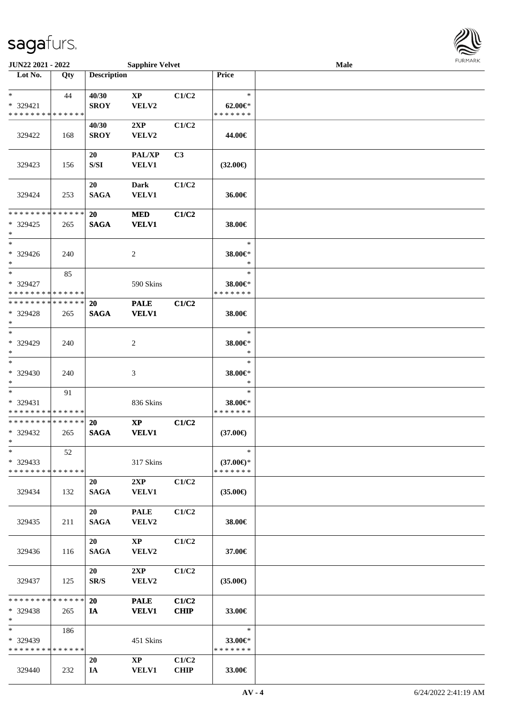

| JUN22 2021 - 2022                                          |     |                                                                                        | <b>Sapphire Velvet</b> |                |                          | <b>Male</b> |  |
|------------------------------------------------------------|-----|----------------------------------------------------------------------------------------|------------------------|----------------|--------------------------|-------------|--|
| Lot No.                                                    | Qty | <b>Description</b>                                                                     |                        |                | Price                    |             |  |
|                                                            |     |                                                                                        |                        |                |                          |             |  |
| $*$                                                        | 44  | 40/30                                                                                  | <b>XP</b>              | C1/C2          | $\ast$                   |             |  |
| * 329421                                                   |     | <b>SROY</b>                                                                            | VELV2                  |                | $62.00 \in$              |             |  |
| * * * * * * * * * * * * * *                                |     |                                                                                        |                        |                | * * * * * * *            |             |  |
|                                                            |     | 40/30                                                                                  | 2XP                    | C1/C2          |                          |             |  |
| 329422                                                     | 168 | <b>SROY</b>                                                                            | VELV2                  |                | 44.00€                   |             |  |
|                                                            |     |                                                                                        |                        |                |                          |             |  |
|                                                            |     | 20                                                                                     | PAL/XP                 | C <sub>3</sub> |                          |             |  |
| 329423                                                     | 156 | $\ensuremath{\mathrm{S}}\xspace/\ensuremath{\mathrm{S}}\xspace\ensuremath{\mathrm{I}}$ | VELV1                  |                | $(32.00\epsilon)$        |             |  |
|                                                            |     |                                                                                        |                        |                |                          |             |  |
|                                                            |     | 20                                                                                     | <b>Dark</b>            | C1/C2          |                          |             |  |
| 329424                                                     | 253 | <b>SAGA</b>                                                                            | VELV1                  |                | 36.00€                   |             |  |
| * * * * * * * * * * * * * *                                |     | 20                                                                                     | <b>MED</b>             | C1/C2          |                          |             |  |
| * 329425                                                   |     | <b>SAGA</b>                                                                            | <b>VELV1</b>           |                |                          |             |  |
| $\ast$                                                     | 265 |                                                                                        |                        |                | 38.00€                   |             |  |
| $*$                                                        |     |                                                                                        |                        |                | $\ast$                   |             |  |
| $* 329426$                                                 | 240 |                                                                                        | 2                      |                | 38.00€*                  |             |  |
| $*$                                                        |     |                                                                                        |                        |                | $\ast$                   |             |  |
| $\ast$                                                     | 85  |                                                                                        |                        |                | $\ast$                   |             |  |
| * 329427                                                   |     |                                                                                        | 590 Skins              |                | 38.00€*                  |             |  |
| * * * * * * * * * * * * * *                                |     |                                                                                        |                        |                | * * * * * * *            |             |  |
| * * * * * * * * * * * * * *                                |     | 20                                                                                     | <b>PALE</b>            | C1/C2          |                          |             |  |
| * 329428                                                   | 265 | <b>SAGA</b>                                                                            | <b>VELV1</b>           |                | 38.00€                   |             |  |
| $*$                                                        |     |                                                                                        |                        |                |                          |             |  |
| $*$                                                        |     |                                                                                        |                        |                | $\ast$                   |             |  |
| * 329429                                                   | 240 |                                                                                        | 2                      |                | 38.00€*                  |             |  |
| $*$                                                        |     |                                                                                        |                        |                | $\ast$                   |             |  |
| $\ast$                                                     |     |                                                                                        |                        |                | $\ast$                   |             |  |
| $* 329430$                                                 | 240 |                                                                                        | 3                      |                | 38.00€*                  |             |  |
| $*$                                                        |     |                                                                                        |                        |                | $\ast$                   |             |  |
| $*$                                                        | 91  |                                                                                        |                        |                | $\ast$                   |             |  |
| * 329431                                                   |     |                                                                                        | 836 Skins              |                | 38.00€*                  |             |  |
| * * * * * * * * * * * * * *<br>* * * * * * * * * * * * * * |     |                                                                                        |                        |                | * * * * * * *            |             |  |
|                                                            |     | <b>20</b>                                                                              | $\bold{XP}$            | C1/C2          |                          |             |  |
| * 329432<br>$*$                                            | 265 | <b>SAGA</b>                                                                            | <b>VELV1</b>           |                | $(37.00\epsilon)$        |             |  |
| $\ast$                                                     | 52  |                                                                                        |                        |                | $\ast$                   |             |  |
| * 329433                                                   |     |                                                                                        | 317 Skins              |                | $(37.00\epsilon)$ *      |             |  |
| * * * * * * * * * * * * * *                                |     |                                                                                        |                        |                | * * * * * * *            |             |  |
|                                                            |     | 20                                                                                     | 2XP                    | C1/C2          |                          |             |  |
| 329434                                                     | 132 | <b>SAGA</b>                                                                            | <b>VELV1</b>           |                | $(35.00\epsilon)$        |             |  |
|                                                            |     |                                                                                        |                        |                |                          |             |  |
|                                                            |     | 20                                                                                     | <b>PALE</b>            | C1/C2          |                          |             |  |
| 329435                                                     | 211 | <b>SAGA</b>                                                                            | VELV2                  |                | 38.00€                   |             |  |
|                                                            |     |                                                                                        |                        |                |                          |             |  |
|                                                            |     | 20                                                                                     | $\mathbf{X}\mathbf{P}$ | C1/C2          |                          |             |  |
| 329436                                                     | 116 | <b>SAGA</b>                                                                            | VELV2                  |                | 37.00€                   |             |  |
|                                                            |     |                                                                                        |                        |                |                          |             |  |
|                                                            |     | 20                                                                                     | 2XP                    | C1/C2          |                          |             |  |
| 329437                                                     | 125 | SR/S                                                                                   | VELV2                  |                | $(35.00\epsilon)$        |             |  |
|                                                            |     |                                                                                        |                        |                |                          |             |  |
| * * * * * * * * * * * * * * *                              |     | <b>20</b>                                                                              | <b>PALE</b>            | C1/C2          |                          |             |  |
| * 329438<br>$*$                                            | 265 | IA                                                                                     | <b>VELV1</b>           | <b>CHIP</b>    | 33.00€                   |             |  |
| $*$ and $*$                                                |     |                                                                                        |                        |                | $\ast$                   |             |  |
|                                                            | 186 |                                                                                        |                        |                |                          |             |  |
| * 329439<br>* * * * * * * * * * * * * *                    |     |                                                                                        | 451 Skins              |                | 33.00€*<br>* * * * * * * |             |  |
|                                                            |     | 20                                                                                     | $\mathbf{X}\mathbf{P}$ | C1/C2          |                          |             |  |
| 329440                                                     | 232 | IA                                                                                     | <b>VELV1</b>           | <b>CHIP</b>    | 33.00€                   |             |  |
|                                                            |     |                                                                                        |                        |                |                          |             |  |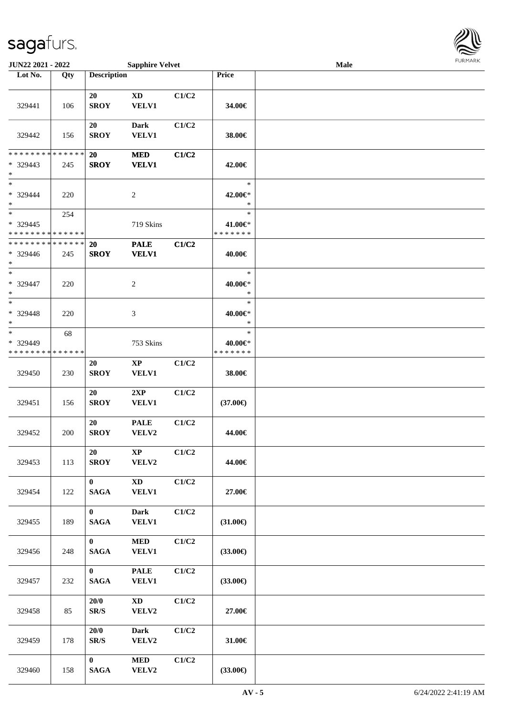

| JUN22 2021 - 2022                              |     |                                  | <b>Sapphire Velvet</b>                 |       |                                    | Male |  |
|------------------------------------------------|-----|----------------------------------|----------------------------------------|-------|------------------------------------|------|--|
| Lot No.                                        | Qty | <b>Description</b>               |                                        |       | Price                              |      |  |
| 329441                                         | 106 | 20<br><b>SROY</b>                | <b>XD</b><br>VELV1                     | C1/C2 | 34.00€                             |      |  |
| 329442                                         | 156 | 20<br><b>SROY</b>                | <b>Dark</b><br><b>VELV1</b>            | C1/C2 | 38.00€                             |      |  |
| * * * * * * * * * * * * * *<br>* 329443<br>$*$ | 245 | <b>20</b><br><b>SROY</b>         | <b>MED</b><br><b>VELV1</b>             | C1/C2 | 42.00€                             |      |  |
| $*$<br>* 329444<br>$*$                         | 220 |                                  | $\overline{c}$                         |       | $\ast$<br>42.00€*<br>$\ast$        |      |  |
| $*$<br>* 329445<br>* * * * * * * * * * * * * * | 254 |                                  | 719 Skins                              |       | $\ast$<br>41.00€*<br>* * * * * * * |      |  |
| * * * * * * * * * * * * * *<br>* 329446<br>$*$ | 245 | 20<br><b>SROY</b>                | <b>PALE</b><br><b>VELV1</b>            | C1/C2 | 40.00€                             |      |  |
| $\ast$<br>$* 329447$<br>$*$                    | 220 |                                  | $\overline{c}$                         |       | $\ast$<br>40.00€*<br>$\ast$        |      |  |
| $*$<br>$* 329448$<br>$*$                       | 220 |                                  | 3                                      |       | $\ast$<br>40.00€*<br>$\ast$        |      |  |
| $*$<br>* 329449<br>* * * * * * * * * * * * * * | 68  |                                  | 753 Skins                              |       | $\ast$<br>40.00€*<br>* * * * * * * |      |  |
| 329450                                         | 230 | 20<br><b>SROY</b>                | $\bold{XP}$<br>VELV1                   | C1/C2 | 38.00€                             |      |  |
| 329451                                         | 156 | 20<br><b>SROY</b>                | 2XP<br><b>VELV1</b>                    | C1/C2 | $(37.00\epsilon)$                  |      |  |
| 329452                                         | 200 | 20<br><b>SROY</b>                | $\ensuremath{\mathsf{PALE}}$<br>VELV2  | C1/C2 | 44.00€                             |      |  |
| 329453                                         | 113 | 20<br><b>SROY</b>                | $\mathbf{X}\mathbf{P}$<br>VELV2        | C1/C2 | 44.00€                             |      |  |
| 329454                                         | 122 | $\mathbf{0}$<br><b>SAGA</b>      | $\mathbf{X}\mathbf{D}$<br><b>VELV1</b> | C1/C2 | 27.00€                             |      |  |
| 329455                                         | 189 | $\mathbf{0}$<br><b>SAGA</b>      | <b>Dark</b><br><b>VELV1</b>            | C1/C2 | $(31.00\epsilon)$                  |      |  |
| 329456                                         | 248 | $\mathbf{0}$<br>$\mathbf{SAGA}$  | $\bf MED$<br><b>VELV1</b>              | C1/C2 | $(33.00\epsilon)$                  |      |  |
| 329457                                         | 232 | $\mathbf{0}$<br>$\mathbf{SAGA}$  | <b>PALE</b><br><b>VELV1</b>            | C1/C2 | $(33.00\epsilon)$                  |      |  |
| 329458                                         | 85  | 20/0<br>$\mathbf{SR}/\mathbf{S}$ | $\mathbf{X}\mathbf{D}$<br>VELV2        | C1/C2 | 27.00€                             |      |  |
| 329459                                         | 178 | 20/0<br>$\mathbf{SR}/\mathbf{S}$ | <b>Dark</b><br>VELV2                   | C1/C2 | 31.00€                             |      |  |
| 329460                                         | 158 | $\mathbf{0}$<br><b>SAGA</b>      | <b>MED</b><br>VELV2                    | C1/C2 | $(33.00\epsilon)$                  |      |  |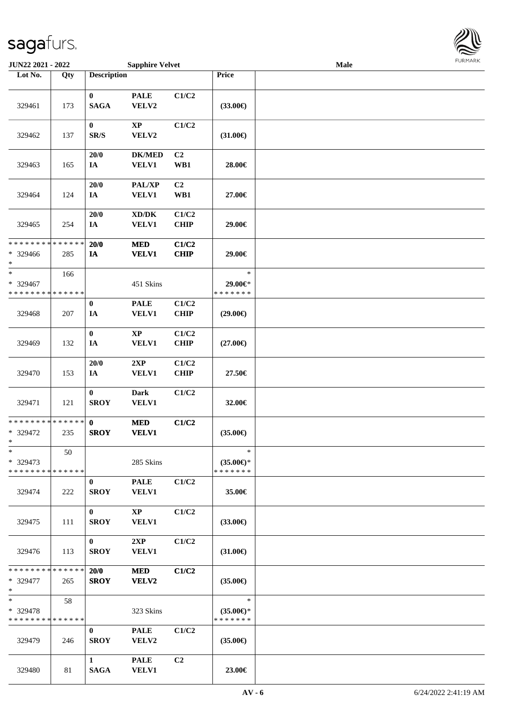

| JUN22 2021 - 2022                                 |     |                             | <b>Sapphire Velvet</b>                              |                       |                                                | Male |  |
|---------------------------------------------------|-----|-----------------------------|-----------------------------------------------------|-----------------------|------------------------------------------------|------|--|
| Lot No.                                           | Qty | <b>Description</b>          |                                                     |                       | Price                                          |      |  |
| 329461                                            | 173 | $\bf{0}$<br><b>SAGA</b>     | <b>PALE</b><br>VELV2                                | C1/C2                 | $(33.00\epsilon)$                              |      |  |
| 329462                                            | 137 | $\boldsymbol{0}$<br>SR/S    | $\mathbf{XP}$<br>VELV2                              | C1/C2                 | $(31.00\epsilon)$                              |      |  |
| 329463                                            | 165 | 20/0<br>IA                  | <b>DK/MED</b><br><b>VELV1</b>                       | C <sub>2</sub><br>WB1 | 28.00€                                         |      |  |
| 329464                                            | 124 | 20/0<br>$I\!\!A$            | PAL/XP<br><b>VELV1</b>                              | C2<br>WB1             | 27.00€                                         |      |  |
| 329465                                            | 254 | 20/0<br>$I\!\!A$            | $\bold{X}\bold{D}/\bold{D}\bold{K}$<br><b>VELV1</b> | C1/C2<br><b>CHIP</b>  | 29.00€                                         |      |  |
| * * * * * * * * * * * * * *<br>* 329466<br>$*$    | 285 | 20/0<br>$I\!\!A$            | <b>MED</b><br><b>VELV1</b>                          | C1/C2<br><b>CHIP</b>  | 29.00€                                         |      |  |
| $\ast$<br>* 329467<br>* * * * * * * * * * * * * * | 166 |                             | 451 Skins                                           |                       | $\ast$<br>29.00€*<br>* * * * * * *             |      |  |
| 329468                                            | 207 | $\boldsymbol{0}$<br>IA      | <b>PALE</b><br><b>VELV1</b>                         | C1/C2<br><b>CHIP</b>  | $(29.00\epsilon)$                              |      |  |
| 329469                                            | 132 | $\pmb{0}$<br>IA             | $\mathbf{XP}$<br><b>VELV1</b>                       | C1/C2<br><b>CHIP</b>  | $(27.00\epsilon)$                              |      |  |
| 329470                                            | 153 | 20/0<br>$I\!\!A$            | 2XP<br>VELV1                                        | C1/C2<br><b>CHIP</b>  | 27.50€                                         |      |  |
| 329471                                            | 121 | $\bf{0}$<br><b>SROY</b>     | Dark<br><b>VELV1</b>                                | C1/C2                 | 32.00€                                         |      |  |
| * * * * * * * * * * * * * * *<br>* 329472<br>$*$  | 235 | $\mathbf{0}$<br><b>SROY</b> | $\bf MED$<br><b>VELV1</b>                           | C1/C2                 | $(35.00\epsilon)$                              |      |  |
| $*$<br>$*329473$<br>* * * * * * * * * * * * * * * | 50  |                             | 285 Skins                                           |                       | $\ast$<br>$(35.00\epsilon)$ *<br>* * * * * * * |      |  |
| 329474                                            | 222 | $\bf{0}$<br><b>SROY</b>     | <b>PALE</b><br><b>VELV1</b>                         | C1/C2                 | 35.00€                                         |      |  |
| 329475                                            | 111 | $\bf{0}$<br><b>SROY</b>     | $\bold{XP}$<br>VELV1                                | C1/C2                 | $(33.00\epsilon)$                              |      |  |
| 329476                                            | 113 | $\mathbf{0}$<br><b>SROY</b> | 2XP<br><b>VELV1</b>                                 | C1/C2                 | $(31.00\epsilon)$                              |      |  |
| * * * * * * * * * * * * * * *<br>* 329477<br>$*$  | 265 | 20/0<br><b>SROY</b>         | <b>MED</b><br>VELV2                                 | C1/C2                 | $(35.00\epsilon)$                              |      |  |
| $*$<br>* 329478<br>* * * * * * * * * * * * * *    | 58  |                             | 323 Skins                                           |                       | $\ast$<br>$(35.00\epsilon)$ *<br>* * * * * * * |      |  |
| 329479                                            | 246 | $\bf{0}$<br><b>SROY</b>     | <b>PALE</b><br>VELV2                                | C1/C2                 | $(35.00\epsilon)$                              |      |  |
| 329480                                            | 81  | $\mathbf{1}$<br><b>SAGA</b> | <b>PALE</b><br><b>VELV1</b>                         | C2                    | 23.00€                                         |      |  |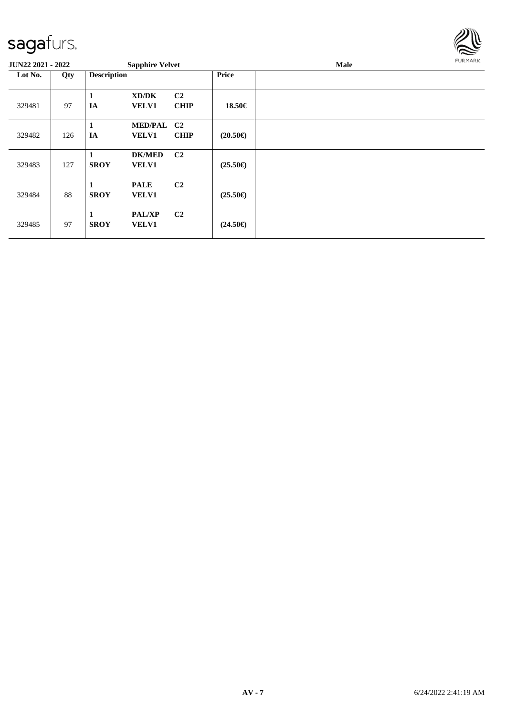

| <b>JUN22 2021 - 2022</b> |     |                    | <b>Sapphire Velvet</b>        |                               |                   | Male | <b>FURMARK</b> |
|--------------------------|-----|--------------------|-------------------------------|-------------------------------|-------------------|------|----------------|
| Lot No.                  | Qty | <b>Description</b> |                               |                               | <b>Price</b>      |      |                |
| 329481                   | 97  | 1<br>IA            | XD/DK<br><b>VELV1</b>         | C <sub>2</sub><br><b>CHIP</b> | 18.50€            |      |                |
| 329482                   | 126 | 1<br>IA            | MED/PAL C2<br><b>VELV1</b>    | <b>CHIP</b>                   | $(20.50\epsilon)$ |      |                |
| 329483                   | 127 | <b>SROY</b>        | <b>DK/MED</b><br><b>VELV1</b> | C <sub>2</sub>                | $(25.50\epsilon)$ |      |                |
| 329484                   | 88  | <b>SROY</b>        | <b>PALE</b><br><b>VELV1</b>   | C <sub>2</sub>                | $(25.50\epsilon)$ |      |                |
| 329485                   | 97  | 1<br><b>SROY</b>   | PAL/XP<br><b>VELV1</b>        | C <sub>2</sub>                | $(24.50\epsilon)$ |      |                |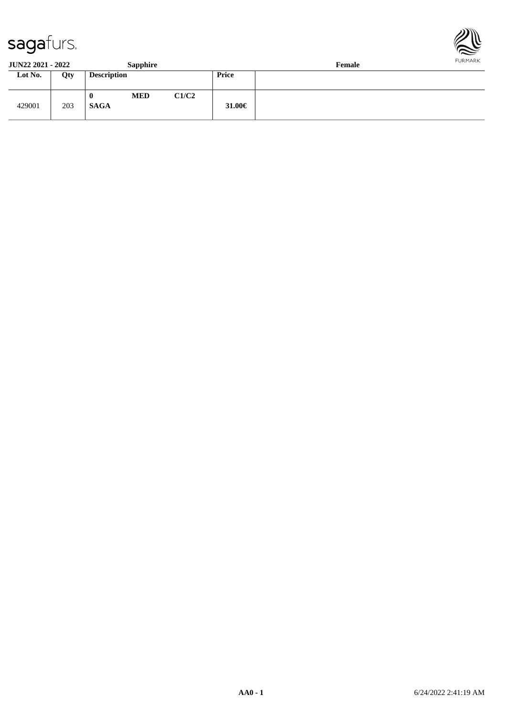



**JUN22 2021 - 2022 Sapphire Female**

| $-0.11 - 0.001 - 0.000$ |     |                    | $\sim$ - $\sim$ - $\sim$ |       |             | --------- |
|-------------------------|-----|--------------------|--------------------------|-------|-------------|-----------|
| Lot No.                 | Qty | <b>Description</b> |                          |       | Price       |           |
| 429001                  | 203 | 0<br><b>SAGA</b>   | <b>MED</b>               | C1/C2 | 31.00 $\in$ |           |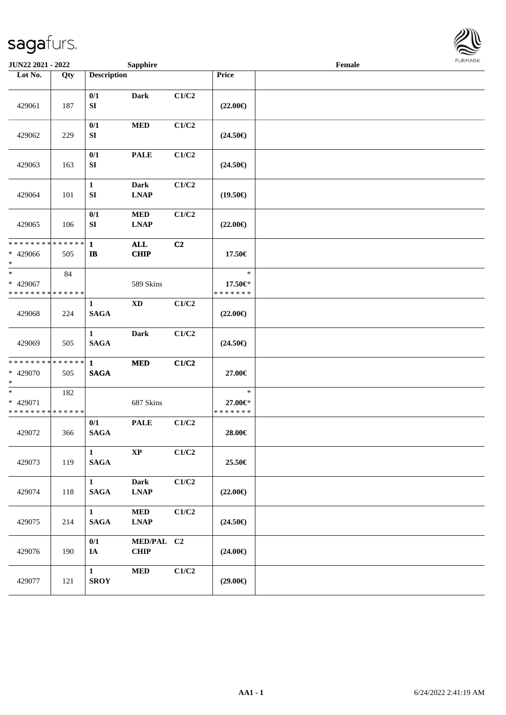

| <b>JUN22 2021 - 2022</b>                                       |     |                                 | <b>Sapphire</b>            |                           | Female                             |  |  |  |  |
|----------------------------------------------------------------|-----|---------------------------------|----------------------------|---------------------------|------------------------------------|--|--|--|--|
| Lot No.                                                        | Qty | <b>Description</b>              |                            |                           | Price                              |  |  |  |  |
| 429061                                                         | 187 | 0/1<br>${\bf S}{\bf I}$         | <b>Dark</b>                | C1/C2                     | $(22.00\epsilon)$                  |  |  |  |  |
| 429062                                                         | 229 | 0/1<br>${\bf S}{\bf I}$         | <b>MED</b>                 | C1/C2                     | $(24.50\epsilon)$                  |  |  |  |  |
| 429063                                                         | 163 | 0/1<br>SI                       | <b>PALE</b>                | C1/C2                     | $(24.50\epsilon)$                  |  |  |  |  |
| 429064                                                         | 101 | $\mathbf{1}$<br>SI              | <b>Dark</b><br><b>LNAP</b> | C1/C2                     | $(19.50\epsilon)$                  |  |  |  |  |
| 429065                                                         | 106 | 0/1<br>${\bf S}{\bf I}$         | $\bf MED$<br><b>LNAP</b>   | C1/C2                     | $(22.00\in)$                       |  |  |  |  |
| * * * * * * * * <mark>* * * * * *</mark><br>* 429066<br>$\ast$ | 505 | $\mathbf{1}$<br>$\mathbf{I}$    | <b>ALL</b><br><b>CHIP</b>  | C2                        | 17.50€                             |  |  |  |  |
| $*$<br>* 429067<br>* * * * * * * * * * * * * *                 | 84  |                                 | 589 Skins                  |                           | $\ast$<br>17.50€*<br>* * * * * * * |  |  |  |  |
| 429068                                                         | 224 | $\mathbf{1}$<br><b>SAGA</b>     | $\mathbf{X}\mathbf{D}$     | C1/C2                     | $(22.00\epsilon)$                  |  |  |  |  |
| 429069                                                         | 505 | $\mathbf{1}$<br><b>SAGA</b>     | <b>Dark</b>                | C1/C2                     | $(24.50\epsilon)$                  |  |  |  |  |
| * * * * * * * * * * * * * *<br>* 429070<br>$\ast$              | 505 | $\mathbf{1}$<br><b>SAGA</b>     | <b>MED</b>                 | C1/C2                     | 27.00€                             |  |  |  |  |
| $\ast$<br>* 429071<br>* * * * * * * * * * * * * *              | 182 |                                 | 687 Skins                  |                           | $\ast$<br>27.00€*<br>* * * * * * * |  |  |  |  |
| 429072                                                         | 366 | 0/1<br><b>SAGA</b>              | <b>PALE</b>                | C1/C2                     | 28.00€                             |  |  |  |  |
| 429073                                                         | 119 | $\mathbf{1}$<br><b>SAGA</b>     | $\bold{XP}$                | C1/C2                     | 25.50€                             |  |  |  |  |
| 429074                                                         | 118 | $\mathbf{1}$<br>$\mathbf{SAGA}$ | <b>Dark</b><br><b>LNAP</b> | C1/C2                     | $(22.00\epsilon)$                  |  |  |  |  |
| 429075                                                         | 214 | $\mathbf{1}$<br><b>SAGA</b>     | <b>MED</b><br><b>LNAP</b>  | C1/C2                     | $(24.50\epsilon)$                  |  |  |  |  |
| 429076                                                         | 190 | 0/1<br>IA                       | MED/PAL C2<br><b>CHIP</b>  |                           | $(24.00\epsilon)$                  |  |  |  |  |
| 429077                                                         | 121 | $\mathbf{1}$<br><b>SROY</b>     | <b>MED</b>                 | $\mathbf{C1}/\mathbf{C2}$ | $(29.00\epsilon)$                  |  |  |  |  |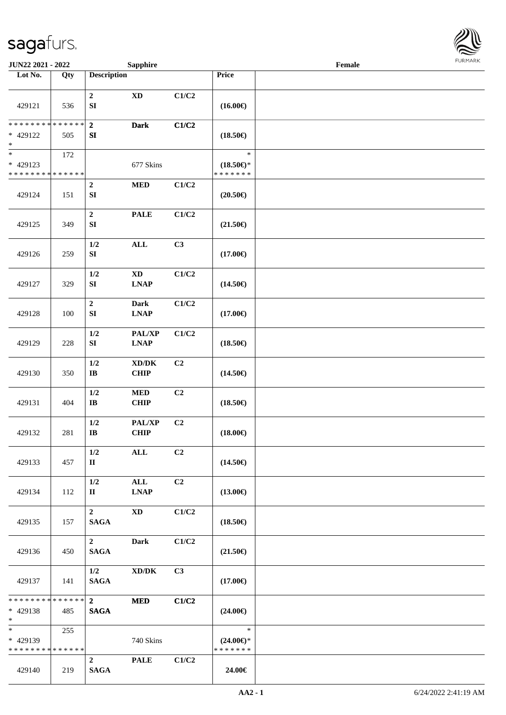

| JUN22 2021 - 2022                                 |                   |                                      | <b>Sapphire</b>                                                      |       |                                                | Female |  |
|---------------------------------------------------|-------------------|--------------------------------------|----------------------------------------------------------------------|-------|------------------------------------------------|--------|--|
| Lot No.                                           | $\overline{Q}$ ty | <b>Description</b>                   |                                                                      |       | Price                                          |        |  |
| 429121                                            | 536               | $\boldsymbol{2}$<br>${\bf S}{\bf I}$ | $\mathbf{X}\mathbf{D}$                                               | C1/C2 | $(16.00\epsilon)$                              |        |  |
| * * * * * * * * * * * * * *<br>* 429122<br>$\ast$ | 505               | $\boldsymbol{2}$<br>${\bf S}{\bf I}$ | <b>Dark</b>                                                          | C1/C2 | $(18.50\epsilon)$                              |        |  |
| $*$<br>* 429123<br>* * * * * * * * * * * * * *    | 172               |                                      | 677 Skins                                                            |       | $\ast$<br>$(18.50\epsilon)$ *<br>* * * * * * * |        |  |
| 429124                                            | 151               | $\boldsymbol{2}$<br>${\bf S}{\bf I}$ | $\bf MED$                                                            | C1/C2 | $(20.50\in)$                                   |        |  |
| 429125                                            | 349               | $\boldsymbol{2}$<br>SI               | <b>PALE</b>                                                          | C1/C2 | $(21.50\epsilon)$                              |        |  |
| 429126                                            | 259               | $1/2$<br>${\bf S}{\bf I}$            | <b>ALL</b>                                                           | C3    | $(17.00\epsilon)$                              |        |  |
| 429127                                            | 329               | 1/2<br>${\bf S}{\bf I}$              | $\mathbf{X}\mathbf{D}$<br>$\mathbf{L}\mathbf{N}\mathbf{A}\mathbf{P}$ | C1/C2 | $(14.50\epsilon)$                              |        |  |
| 429128                                            | 100               | $\boldsymbol{2}$<br>${\bf SI}$       | <b>Dark</b><br><b>LNAP</b>                                           | C1/C2 | $(17.00\epsilon)$                              |        |  |
| 429129                                            | 228               | $1/2$<br>${\bf S}{\bf I}$            | PAL/XP<br><b>LNAP</b>                                                | C1/C2 | $(18.50\epsilon)$                              |        |  |
| 429130                                            | 350               | 1/2<br>$\bf IB$                      | $\bold{X}\bold{D}/\bold{D}\bold{K}$<br><b>CHIP</b>                   | C2    | $(14.50\epsilon)$                              |        |  |
| 429131                                            | 404               | $1/2\,$<br>$\bf IB$                  | $\bf MED$<br><b>CHIP</b>                                             | C2    | $(18.50\in)$                                   |        |  |
| 429132                                            | 281               | $1/2$<br>$\mathbf{I}\mathbf{B}$      | PAL/XP<br><b>CHIP</b>                                                | C2    | $(18.00\epsilon)$                              |        |  |
| 429133                                            | 457               | 1/2<br>$\mathbf{I}$                  | $\mathbf{ALL}$                                                       | C2    | $(14.50\epsilon)$                              |        |  |
| 429134                                            | 112               | 1/2<br>$\mathbf{I}$                  | ALL<br><b>LNAP</b>                                                   | C2    | $(13.00\epsilon)$                              |        |  |
| 429135                                            | 157               | $\overline{2}$<br><b>SAGA</b>        | <b>XD</b>                                                            | C1/C2 | $(18.50\epsilon)$                              |        |  |
| 429136                                            | 450               | $2^{\circ}$<br><b>SAGA</b>           | <b>Dark</b>                                                          | C1/C2 | $(21.50\in)$                                   |        |  |
| 429137                                            | 141               | 1/2<br><b>SAGA</b>                   | $\bold{X}\bold{D}/\bold{D}\bold{K}$                                  | C3    | $(17.00\epsilon)$                              |        |  |
| * * * * * * * *<br>* 429138<br>$*$                | ******<br>485     | $\overline{2}$<br><b>SAGA</b>        | <b>MED</b>                                                           | C1/C2 | $(24.00\epsilon)$                              |        |  |
| * 429139<br>* * * * * * * * * * * * * *           | 255               |                                      | 740 Skins                                                            |       | $\ast$<br>$(24.00\epsilon)$ *<br>* * * * * * * |        |  |
| 429140                                            | 219               | $\overline{2}$<br><b>SAGA</b>        | <b>PALE</b>                                                          | C1/C2 | 24.00€                                         |        |  |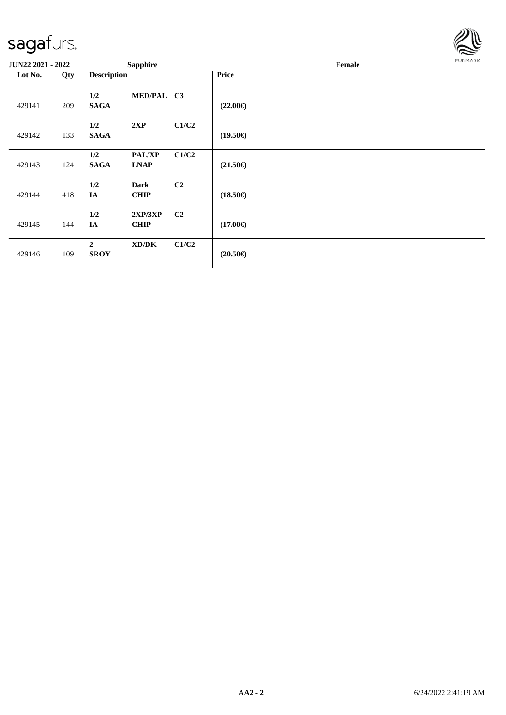

| <b>JUN22 2021 - 2022</b> |     | <b>Sapphire</b>                                    |                            | <b>FURMARK</b><br>Female |
|--------------------------|-----|----------------------------------------------------|----------------------------|--------------------------|
| Lot No.                  | Qty | <b>Description</b>                                 | <b>Price</b>               |                          |
| 429141                   | 209 | MED/PAL C3<br>1/2<br><b>SAGA</b>                   | $(22.00\epsilon)$          |                          |
| 429142                   | 133 | 1/2<br>2XP<br><b>SAGA</b>                          | C1/C2<br>$(19.50\epsilon)$ |                          |
| 429143                   | 124 | 1/2<br><b>PAL/XP</b><br><b>SAGA</b><br><b>LNAP</b> | C1/C2<br>$(21.50\epsilon)$ |                          |
| 429144                   | 418 | 1/2<br>Dark<br>IA<br><b>CHIP</b>                   | C2<br>$(18.50\epsilon)$    |                          |
| 429145                   | 144 | 1/2<br>2XP/3XP<br>IA<br><b>CHIP</b>                | C2<br>$(17.00\epsilon)$    |                          |
| 429146                   | 109 | $\overline{2}$<br>XD/DK<br><b>SROY</b>             | C1/C2<br>$(20.50\epsilon)$ |                          |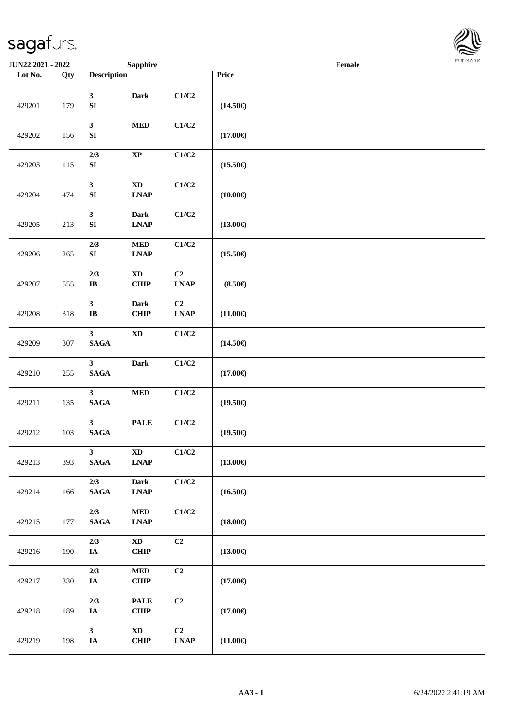

| <b>JUN22 2021 - 2022</b> |                   |                                        | <b>Sapphire</b>                                                                   |                   |                   | Female |  |
|--------------------------|-------------------|----------------------------------------|-----------------------------------------------------------------------------------|-------------------|-------------------|--------|--|
| Lot No.                  | $\overline{Q}$ ty | <b>Description</b>                     |                                                                                   |                   | Price             |        |  |
| 429201                   | 179               | $\mathbf{3}$<br>${\bf S}{\bf I}$       | Dark                                                                              | C1/C2             | $(14.50\epsilon)$ |        |  |
| 429202                   | 156               | $\mathbf{3}$<br>${\bf S}{\bf I}$       | $\bf MED$                                                                         | C1/C2             | $(17.00\epsilon)$ |        |  |
| 429203                   | 115               | 2/3<br>${\bf S}{\bf I}$                | $\bold{XP}$                                                                       | C1/C2             | $(15.50\epsilon)$ |        |  |
| 429204                   | 474               | $\mathbf{3}$<br>${\bf S}{\bf I}$       | $\mathbf{X}\mathbf{D}$<br>$\ensuremath{\mathbf{L}\mathbf{N}\mathbf{A}\mathbf{P}}$ | C1/C2             | $(10.00\epsilon)$ |        |  |
| 429205                   | 213               | $\mathbf{3}$<br>${\bf S}{\bf I}$       | <b>Dark</b><br><b>LNAP</b>                                                        | C1/C2             | $(13.00\epsilon)$ |        |  |
| 429206                   | 265               | 2/3<br>${\bf S}{\bf I}$                | $\bf MED$<br><b>LNAP</b>                                                          | C1/C2             | $(15.50\epsilon)$ |        |  |
| 429207                   | 555               | 2/3<br>$\mathbf I\mathbf B$            | $\mathbf{X}\mathbf{D}$<br>CHIP                                                    | C2<br><b>LNAP</b> | $(8.50\epsilon)$  |        |  |
| 429208                   | 318               | $\mathbf{3}$<br>$\mathbf{I}\mathbf{B}$ | Dark<br><b>CHIP</b>                                                               | C2<br><b>LNAP</b> | $(11.00\epsilon)$ |        |  |
| 429209                   | 307               | $\mathbf{3}$<br><b>SAGA</b>            | $\mathbf{X}\mathbf{D}$                                                            | C1/C2             | $(14.50\epsilon)$ |        |  |
| 429210                   | 255               | $\mathbf{3}$<br>$\mathbf{SAGA}$        | Dark                                                                              | C1/C2             | $(17.00\in)$      |        |  |
| 429211                   | 135               | $\mathbf{3}$<br>$\mathbf{SAGA}$        | $\bf MED$                                                                         | C1/C2             | $(19.50\epsilon)$ |        |  |
| 429212                   | 103               | 3 <sup>1</sup><br><b>SAGA</b>          | <b>PALE</b>                                                                       | C1/C2             | $(19.50\epsilon)$ |        |  |
| 429213                   | 393               | $\mathbf{3}$<br><b>SAGA</b>            | $\mathbf{X}\mathbf{D}$<br><b>LNAP</b>                                             | C1/C2             | $(13.00\epsilon)$ |        |  |
| 429214                   | 166               | 2/3<br><b>SAGA</b>                     | <b>Dark</b><br><b>LNAP</b>                                                        | C1/C2             | $(16.50\epsilon)$ |        |  |
| 429215                   | 177               | 2/3<br><b>SAGA</b>                     | $\bf MED$<br><b>LNAP</b>                                                          | C1/C2             | $(18.00\epsilon)$ |        |  |
| 429216                   | 190               | $2/3$<br>IA                            | $\boldsymbol{\mathrm{XD}}$<br><b>CHIP</b>                                         | C2                | $(13.00\epsilon)$ |        |  |
| 429217                   | 330               | $2/3$<br>$I\!\!A$                      | <b>MED</b><br><b>CHIP</b>                                                         | C <sub>2</sub>    | $(17.00\epsilon)$ |        |  |
| 429218                   | 189               | 2/3<br>$I\!\!A$                        | <b>PALE</b><br><b>CHIP</b>                                                        | C2                | $(17.00\epsilon)$ |        |  |
| 429219                   | 198               | $\mathbf{3}$<br>IA                     | $\mathbf{X}\mathbf{D}$<br>CHIP                                                    | C2<br><b>LNAP</b> | $(11.00\in)$      |        |  |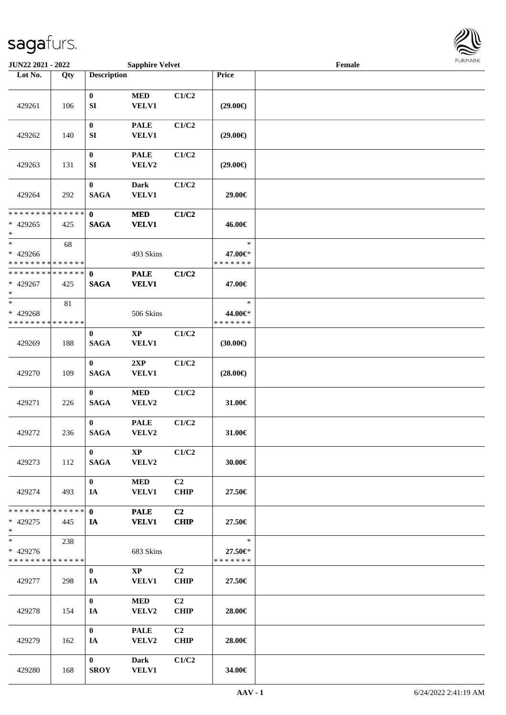

| JUN22 2021 - 2022                                   |     |                             | <b>Sapphire Velvet</b>          |                               |                                    | Female |  |
|-----------------------------------------------------|-----|-----------------------------|---------------------------------|-------------------------------|------------------------------------|--------|--|
| Lot No.                                             | Qty | <b>Description</b>          |                                 |                               | Price                              |        |  |
| 429261                                              | 106 | $\bf{0}$<br>SI              | <b>MED</b><br><b>VELV1</b>      | C1/C2                         | $(29.00\epsilon)$                  |        |  |
| 429262                                              | 140 | $\boldsymbol{0}$<br>SI      | <b>PALE</b><br><b>VELV1</b>     | C1/C2                         | $(29.00\epsilon)$                  |        |  |
| 429263                                              | 131 | $\pmb{0}$<br>SI             | <b>PALE</b><br>VELV2            | C1/C2                         | $(29.00\epsilon)$                  |        |  |
| 429264                                              | 292 | $\pmb{0}$<br><b>SAGA</b>    | <b>Dark</b><br><b>VELV1</b>     | C1/C2                         | 29.00€                             |        |  |
| * * * * * * * * * * * * * *<br>* 429265<br>$\ast$   | 425 | $\mathbf 0$<br><b>SAGA</b>  | <b>MED</b><br><b>VELV1</b>      | C1/C2                         | 46.00€                             |        |  |
| $\ast$<br>* 429266<br>* * * * * * * * * * * * * *   | 68  |                             | 493 Skins                       |                               | $\ast$<br>47.00€*<br>* * * * * * * |        |  |
| * * * * * * * * * * * * * * *<br>* 429267<br>$\ast$ | 425 | $\mathbf{0}$<br><b>SAGA</b> | <b>PALE</b><br><b>VELV1</b>     | C1/C2                         | 47.00€                             |        |  |
| $*$<br>* 429268<br>* * * * * * * * * * * * * *      | 81  |                             | 506 Skins                       |                               | $\ast$<br>44.00€*<br>* * * * * * * |        |  |
| 429269                                              | 188 | $\bf{0}$<br><b>SAGA</b>     | <b>XP</b><br>VELV1              | C1/C2                         | (30.00)                            |        |  |
| 429270                                              | 109 | $\bf{0}$<br><b>SAGA</b>     | 2XP<br>VELV1                    | C1/C2                         | $(28.00\epsilon)$                  |        |  |
| 429271                                              | 226 | $\bf{0}$<br><b>SAGA</b>     | $\bf MED$<br>VELV2              | C1/C2                         | 31.00€                             |        |  |
| 429272                                              | 236 | $\mathbf{0}$<br><b>SAGA</b> | <b>PALE</b><br>VELV2            | C1/C2                         | 31.00€                             |        |  |
| 429273                                              | 112 | $\mathbf{0}$<br><b>SAGA</b> | $\mathbf{X}\mathbf{P}$<br>VELV2 | C1/C2                         | 30.00€                             |        |  |
| 429274                                              | 493 | $\mathbf{0}$<br>IA          | <b>MED</b><br><b>VELV1</b>      | C2<br><b>CHIP</b>             | 27.50€                             |        |  |
| * * * * * * * * * * * * * * *<br>* 429275<br>$*$    | 445 | $\mathbf{0}$<br>IA          | <b>PALE</b><br><b>VELV1</b>     | C <sub>2</sub><br><b>CHIP</b> | 27.50€                             |        |  |
| $*$<br>* 429276<br>* * * * * * * * * * * * * *      | 238 |                             | 683 Skins                       |                               | $\ast$<br>27.50€*<br>* * * * * * * |        |  |
| 429277                                              | 298 | $\bf{0}$<br>IA              | $\mathbf{X}\mathbf{P}$<br>VELV1 | C2<br><b>CHIP</b>             | 27.50€                             |        |  |
| 429278                                              | 154 | $\mathbf{0}$<br>IA          | <b>MED</b><br>VELV2             | C <sub>2</sub><br><b>CHIP</b> | 28.00€                             |        |  |
| 429279                                              | 162 | $\mathbf{0}$<br>IA          | <b>PALE</b><br>VELV2            | C2<br><b>CHIP</b>             | 28.00€                             |        |  |
| 429280                                              | 168 | $\mathbf{0}$<br><b>SROY</b> | Dark<br><b>VELV1</b>            | C1/C2                         | 34.00€                             |        |  |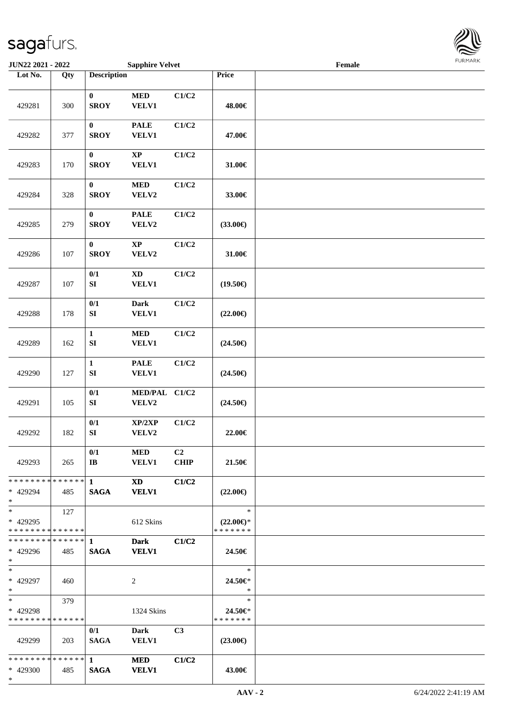

| <b>JUN22 2021 - 2022</b>                               |     |                                  | <b>Sapphire Velvet</b>      |                               |                                                | Female |  |
|--------------------------------------------------------|-----|----------------------------------|-----------------------------|-------------------------------|------------------------------------------------|--------|--|
| Lot No.                                                | Qty | <b>Description</b>               |                             |                               | Price                                          |        |  |
| 429281                                                 | 300 | $\bf{0}$<br><b>SROY</b>          | $\bf MED$<br>VELV1          | C1/C2                         | 48.00€                                         |        |  |
| 429282                                                 | 377 | $\boldsymbol{0}$<br><b>SROY</b>  | <b>PALE</b><br><b>VELV1</b> | C1/C2                         | 47.00€                                         |        |  |
| 429283                                                 | 170 | $\pmb{0}$<br><b>SROY</b>         | $\bold{XP}$<br>VELV1        | C1/C2                         | 31.00€                                         |        |  |
| 429284                                                 | 328 | $\pmb{0}$<br><b>SROY</b>         | $\bf MED$<br>VELV2          | C1/C2                         | 33.00€                                         |        |  |
| 429285                                                 | 279 | $\bf{0}$<br><b>SROY</b>          | <b>PALE</b><br>VELV2        | C1/C2                         | $(33.00\epsilon)$                              |        |  |
| 429286                                                 | 107 | $\bf{0}$<br><b>SROY</b>          | $\bold{XP}$<br>VELV2        | C1/C2                         | 31.00€                                         |        |  |
| 429287                                                 | 107 | 0/1<br>${\bf S}{\bf I}$          | XD<br>VELV1                 | C1/C2                         | $(19.50\epsilon)$                              |        |  |
| 429288                                                 | 178 | 0/1<br>SI                        | <b>Dark</b><br><b>VELV1</b> | C1/C2                         | $(22.00\epsilon)$                              |        |  |
| 429289                                                 | 162 | $\mathbf{1}$<br>SI               | $\bf MED$<br><b>VELV1</b>   | C1/C2                         | $(24.50\epsilon)$                              |        |  |
| 429290                                                 | 127 | $\mathbf 1$<br>${\bf SI}$        | <b>PALE</b><br>VELV1        | C1/C2                         | $(24.50\epsilon)$                              |        |  |
| 429291                                                 | 105 | 0/1<br>${\bf S}{\bf I}$          | MED/PAL C1/C2<br>VELV2      |                               | $(24.50\epsilon)$                              |        |  |
| 429292                                                 | 182 | 0/1<br>${\bf S}{\bf I}$          | XP/2XP<br>VELV2             | C1/C2                         | 22.00€                                         |        |  |
| 429293                                                 | 265 | 0/1<br>$\mathbf{I}$ <b>B</b>     | MED<br><b>VELV1</b>         | C <sub>2</sub><br><b>CHIP</b> | 21.50€                                         |        |  |
| * * * * * * * * * * * * * * *<br>* 429294<br>$*$       | 485 | $\mathbf{1}$<br><b>SAGA</b>      | <b>XD</b><br><b>VELV1</b>   | C1/C2                         | $(22.00\epsilon)$                              |        |  |
| $*$<br>* 429295<br>* * * * * * * * * * * * * * *       | 127 |                                  | 612 Skins                   |                               | $\ast$<br>$(22.00\epsilon)$ *<br>* * * * * * * |        |  |
| * * * * * * * * * * * * * * *<br>* 429296<br>$*$       | 485 | $\mathbf{1}$<br><b>SAGA</b>      | <b>Dark</b><br><b>VELV1</b> | C1/C2                         | 24.50€                                         |        |  |
| $*$<br>* 429297<br>$*$                                 | 460 |                                  | 2                           |                               | $\ast$<br>24.50€*<br>$\ast$                    |        |  |
| $*$ and $*$<br>* 429298<br>* * * * * * * * * * * * * * | 379 |                                  | 1324 Skins                  |                               | $\ast$<br>24.50€*<br>* * * * * * *             |        |  |
| 429299                                                 | 203 | 0/1<br><b>SAGA</b>               | <b>Dark</b><br><b>VELV1</b> | C <sub>3</sub>                | $(23.00\epsilon)$                              |        |  |
| * * * * * * * * * * * * * * *<br>* 429300<br>$*$       | 485 | $1 \qquad \qquad$<br><b>SAGA</b> | <b>MED</b><br><b>VELV1</b>  | C1/C2                         | 43.00€                                         |        |  |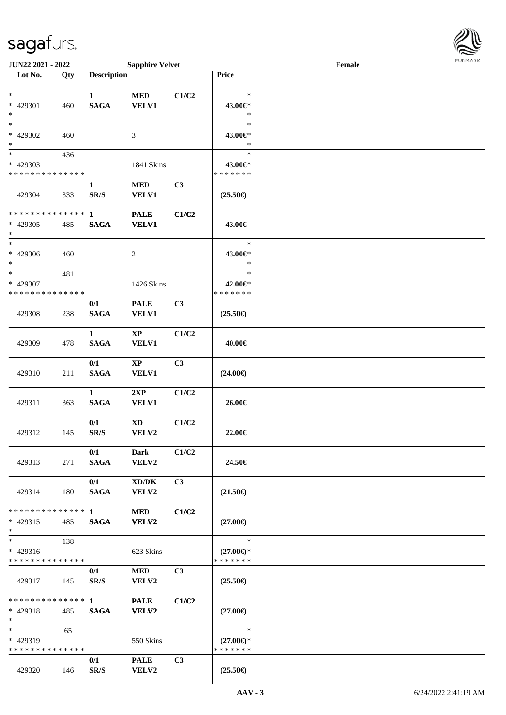**JUN22 2021 - 2022** 

\* \* \* \* \* \* \* \* \* \* \* \* \* \*

429320 146

65

\*

\*

\*

\*

\* 429319

550 Skins

**SR/S VELV2 (25.50€)**

**0/1 PALE C3**

\*

\*

\*

\*

\*

\*

\*

| <b>JUN22 2021 - 2022</b>                   |     |                             | <b>Sapphire Velvet</b>              |                | 1.91111111<br>Female |  |  |  |  |
|--------------------------------------------|-----|-----------------------------|-------------------------------------|----------------|----------------------|--|--|--|--|
| Lot No.                                    | Qty | <b>Description</b>          |                                     |                | Price                |  |  |  |  |
| $\ast$                                     |     |                             |                                     |                | $\ast$               |  |  |  |  |
| * 429301                                   | 460 | $\mathbf{1}$<br><b>SAGA</b> | <b>MED</b><br><b>VELV1</b>          | C1/C2          | 43.00€*              |  |  |  |  |
| $\ast$                                     |     |                             |                                     |                | $\ast$               |  |  |  |  |
| $\overline{\ast}$                          |     |                             |                                     |                | $\ast$               |  |  |  |  |
| * 429302                                   | 460 |                             | 3                                   |                | 43.00€*              |  |  |  |  |
| $\ast$                                     |     |                             |                                     |                | $\ast$               |  |  |  |  |
| $*$                                        | 436 |                             |                                     |                | $\ast$               |  |  |  |  |
| * 429303                                   |     |                             | 1841 Skins                          |                | 43.00€*              |  |  |  |  |
| * * * * * * * * * * * * * *                |     |                             |                                     |                | * * * * * * *        |  |  |  |  |
|                                            |     | $\mathbf{1}$                | $\bf MED$                           | C <sub>3</sub> |                      |  |  |  |  |
| 429304                                     | 333 | SR/S                        | <b>VELV1</b>                        |                | $(25.50\epsilon)$    |  |  |  |  |
| * * * * * * * * * * * * * *                |     | $\mathbf{1}$                | <b>PALE</b>                         | C1/C2          |                      |  |  |  |  |
| * 429305                                   | 485 | <b>SAGA</b>                 | <b>VELV1</b>                        |                | 43.00€               |  |  |  |  |
| $\ast$                                     |     |                             |                                     |                |                      |  |  |  |  |
| $\ast$                                     |     |                             |                                     |                | $\ast$               |  |  |  |  |
| * 429306                                   | 460 |                             | $\overline{c}$                      |                | 43.00€*              |  |  |  |  |
| $\ast$                                     |     |                             |                                     |                | $\ast$               |  |  |  |  |
| $\ast$                                     | 481 |                             |                                     |                | $\ast$               |  |  |  |  |
| * 429307                                   |     |                             | 1426 Skins                          |                | 42.00€*              |  |  |  |  |
| * * * * * * * * <mark>* * * * * * *</mark> |     |                             |                                     |                | * * * * * * *        |  |  |  |  |
|                                            |     | 0/1                         | <b>PALE</b>                         | C <sub>3</sub> |                      |  |  |  |  |
| 429308                                     | 238 | <b>SAGA</b>                 | <b>VELV1</b>                        |                | $(25.50\epsilon)$    |  |  |  |  |
|                                            |     | $\mathbf{1}$                | $\mathbf{XP}$                       | C1/C2          |                      |  |  |  |  |
| 429309                                     | 478 | <b>SAGA</b>                 | <b>VELV1</b>                        |                | 40.00€               |  |  |  |  |
|                                            |     |                             |                                     |                |                      |  |  |  |  |
|                                            |     | 0/1                         | <b>XP</b>                           | C <sub>3</sub> |                      |  |  |  |  |
| 429310                                     | 211 | <b>SAGA</b>                 | VELV1                               |                | $(24.00\epsilon)$    |  |  |  |  |
|                                            |     |                             |                                     |                |                      |  |  |  |  |
|                                            |     | $\mathbf{1}$                | 2XP                                 | C1/C2          |                      |  |  |  |  |
| 429311                                     | 363 | <b>SAGA</b>                 | <b>VELV1</b>                        |                | 26.00€               |  |  |  |  |
|                                            |     | 0/1                         | $\mathbf{X}\mathbf{D}$              | C1/C2          |                      |  |  |  |  |
| 429312                                     | 145 | $\mathbf{SR}/\mathbf{S}$    | VELV2                               |                | 22.00€               |  |  |  |  |
|                                            |     |                             |                                     |                |                      |  |  |  |  |
|                                            |     | 0/1                         | Dark                                | C1/C2          |                      |  |  |  |  |
| 429313                                     | 271 | <b>SAGA</b>                 | VELV2                               |                | 24.50€               |  |  |  |  |
|                                            |     |                             |                                     |                |                      |  |  |  |  |
|                                            |     | 0/1                         | $\bold{X}\bold{D}/\bold{D}\bold{K}$ | C3             |                      |  |  |  |  |
| 429314                                     | 180 | <b>SAGA</b>                 | VELV2                               |                | $(21.50\epsilon)$    |  |  |  |  |
| * * * * * * * * <mark>* * * * * *</mark>   |     |                             |                                     |                |                      |  |  |  |  |
| $* 429315$                                 |     | $\mathbf{1}$<br><b>SAGA</b> | <b>MED</b><br><b>VELV2</b>          | C1/C2          |                      |  |  |  |  |
| $\ast$                                     | 485 |                             |                                     |                | $(27.00\epsilon)$    |  |  |  |  |
| $\ast$                                     | 138 |                             |                                     |                | $\ast$               |  |  |  |  |
| $* 429316$                                 |     |                             | 623 Skins                           |                | $(27.00\epsilon)$ *  |  |  |  |  |
| * * * * * * * * <mark>* * * * * * *</mark> |     |                             |                                     |                | * * * * * * *        |  |  |  |  |
|                                            |     | 0/1                         | <b>MED</b>                          | C3             |                      |  |  |  |  |
| 429317                                     | 145 | SR/S                        | VELV2                               |                | $(25.50\epsilon)$    |  |  |  |  |
|                                            |     |                             |                                     |                |                      |  |  |  |  |
|                                            |     |                             | <b>PALE</b>                         | C1/C2          |                      |  |  |  |  |
| * 429318                                   | 485 | <b>SAGA</b>                 | <b>VELV2</b>                        |                | $(27.00\epsilon)$    |  |  |  |  |

\* \* **(27.00€)** \* \* \* \* \* \* \*

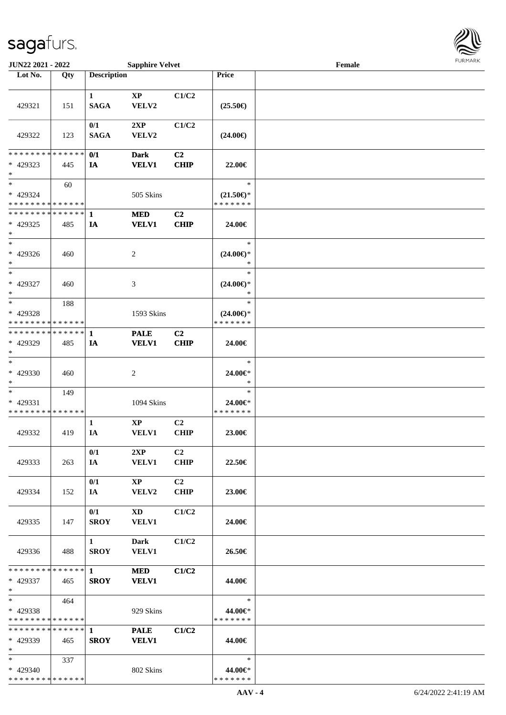

| JUN22 2021 - 2022                                                           |     |                        | <b>Sapphire Velvet</b> |                |                          | Female |  |
|-----------------------------------------------------------------------------|-----|------------------------|------------------------|----------------|--------------------------|--------|--|
| Lot No.                                                                     | Qty | <b>Description</b>     |                        |                | Price                    |        |  |
|                                                                             |     |                        |                        |                |                          |        |  |
|                                                                             |     | $\mathbf{1}$           | $\bold{XP}$            | C1/C2          |                          |        |  |
| 429321                                                                      | 151 | <b>SAGA</b>            | VELV2                  |                | $(25.50\epsilon)$        |        |  |
|                                                                             |     |                        |                        |                |                          |        |  |
|                                                                             |     | 0/1                    | 2XP                    | C1/C2          |                          |        |  |
| 429322                                                                      | 123 | <b>SAGA</b>            | VELV2                  |                | $(24.00\epsilon)$        |        |  |
|                                                                             |     |                        |                        |                |                          |        |  |
| * * * * * * * * * * * * * *                                                 |     | 0/1                    | <b>Dark</b>            | C <sub>2</sub> |                          |        |  |
| * 429323                                                                    | 445 | IA                     | <b>VELV1</b>           | <b>CHIP</b>    | 22.00€                   |        |  |
| $\ast$                                                                      |     |                        |                        |                |                          |        |  |
| $\ast$                                                                      | 60  |                        |                        |                | $\ast$                   |        |  |
| * 429324                                                                    |     |                        | 505 Skins              |                | $(21.50\epsilon)$ *      |        |  |
| * * * * * * * * * * * * * *                                                 |     |                        |                        |                | * * * * * * *            |        |  |
| * * * * * * * * * * * * * * *                                               |     | $\mathbf{1}$           | <b>MED</b>             | C <sub>2</sub> |                          |        |  |
| * 429325                                                                    | 485 | IA                     | <b>VELV1</b>           | <b>CHIP</b>    | 24.00€                   |        |  |
| $\ast$<br>$_{\ast}$                                                         |     |                        |                        |                |                          |        |  |
|                                                                             |     |                        |                        |                | $\ast$                   |        |  |
| * 429326                                                                    | 460 |                        | $\sqrt{2}$             |                | $(24.00\epsilon)$ *      |        |  |
| $\ast$                                                                      |     |                        |                        |                | $\ast$                   |        |  |
| $\ast$                                                                      |     |                        |                        |                | $\ast$                   |        |  |
| * 429327                                                                    | 460 |                        | 3                      |                | $(24.00\epsilon)$ *      |        |  |
| $\ast$                                                                      |     |                        |                        |                | $\ast$                   |        |  |
| $\ast$                                                                      | 188 |                        |                        |                | $\ast$                   |        |  |
| * 429328                                                                    |     |                        | 1593 Skins             |                | $(24.00\epsilon)$ *      |        |  |
| * * * * * * * * <mark>* * * * * * *</mark><br>* * * * * * * * * * * * * * * |     |                        |                        |                | * * * * * * *            |        |  |
|                                                                             |     | 1                      | <b>PALE</b>            | C <sub>2</sub> |                          |        |  |
| * 429329<br>$\ast$                                                          | 485 | IA                     | <b>VELV1</b>           | <b>CHIP</b>    | 24.00€                   |        |  |
| $\ast$                                                                      |     |                        |                        |                | $\ast$                   |        |  |
|                                                                             |     |                        |                        |                |                          |        |  |
| * 429330<br>$\ast$                                                          | 460 |                        | $\sqrt{2}$             |                | 24.00€*<br>$\ast$        |        |  |
| $\ast$                                                                      |     |                        |                        |                | $\ast$                   |        |  |
| * 429331                                                                    | 149 |                        |                        |                |                          |        |  |
| * * * * * * * * * * * * * *                                                 |     |                        | 1094 Skins             |                | 24.00€*<br>* * * * * * * |        |  |
|                                                                             |     | 1                      | $\bold{XP}$            | C <sub>2</sub> |                          |        |  |
| 429332                                                                      | 419 | IA                     | <b>VELV1</b>           | <b>CHIP</b>    | 23.00€                   |        |  |
|                                                                             |     |                        |                        |                |                          |        |  |
|                                                                             |     | 0/1                    | 2XP                    | C <sub>2</sub> |                          |        |  |
| 429333                                                                      | 263 | IA                     | <b>VELV1</b>           | <b>CHIP</b>    | 22.50€                   |        |  |
|                                                                             |     |                        |                        |                |                          |        |  |
|                                                                             |     | 0/1                    | $\mathbf{X}\mathbf{P}$ | C <sub>2</sub> |                          |        |  |
| 429334                                                                      | 152 | IA                     | <b>VELV2</b>           | <b>CHIP</b>    | 23.00€                   |        |  |
|                                                                             |     |                        |                        |                |                          |        |  |
|                                                                             |     | 0/1                    | XD                     | C1/C2          |                          |        |  |
| 429335                                                                      | 147 | <b>SROY</b>            | <b>VELV1</b>           |                | 24.00€                   |        |  |
|                                                                             |     |                        |                        |                |                          |        |  |
|                                                                             |     | $1 \quad \blacksquare$ | <b>Dark</b>            | C1/C2          |                          |        |  |
| 429336                                                                      | 488 | <b>SROY</b>            | <b>VELV1</b>           |                | 26.50€                   |        |  |
|                                                                             |     |                        |                        |                |                          |        |  |
| * * * * * * * * * * * * * * *                                               |     | $1 \quad \blacksquare$ | <b>MED</b>             | C1/C2          |                          |        |  |
| * 429337                                                                    | 465 | <b>SROY</b>            | <b>VELV1</b>           |                | 44.00€                   |        |  |
| $*$                                                                         |     |                        |                        |                |                          |        |  |
| $*$                                                                         | 464 |                        |                        |                | $\ast$                   |        |  |
| * 429338                                                                    |     |                        | 929 Skins              |                | 44.00€*                  |        |  |
| * * * * * * * * * * * * * *                                                 |     |                        |                        |                | * * * * * * *            |        |  |
| * * * * * * * * * * * * * *                                                 |     | $\mathbf{1}$           | <b>PALE</b>            | C1/C2          |                          |        |  |
| * 429339                                                                    | 465 | <b>SROY</b>            | <b>VELV1</b>           |                | 44.00€                   |        |  |
| $*$                                                                         |     |                        |                        |                |                          |        |  |
| $*$                                                                         | 337 |                        |                        |                | $\ast$                   |        |  |
| * 429340                                                                    |     |                        | 802 Skins              |                | 44.00€*                  |        |  |
| * * * * * * * * * * * * * *                                                 |     |                        |                        |                | * * * * * * *            |        |  |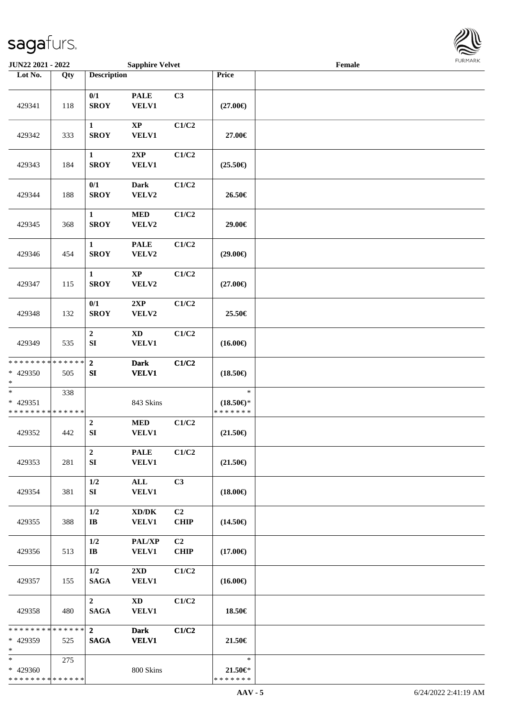

| JUN22 2021 - 2022                                   |     |                                | <b>Sapphire Velvet</b>                              |                   |                                                | Female |  |
|-----------------------------------------------------|-----|--------------------------------|-----------------------------------------------------|-------------------|------------------------------------------------|--------|--|
| Lot No.                                             | Qty | <b>Description</b>             |                                                     |                   | Price                                          |        |  |
| 429341                                              | 118 | 0/1<br><b>SROY</b>             | <b>PALE</b><br><b>VELV1</b>                         | C3                | $(27.00\epsilon)$                              |        |  |
| 429342                                              | 333 | $\mathbf{1}$<br><b>SROY</b>    | $\mathbf{XP}$<br><b>VELV1</b>                       | C1/C2             | 27.00€                                         |        |  |
| 429343                                              | 184 | $\mathbf{1}$<br><b>SROY</b>    | 2XP<br><b>VELV1</b>                                 | C1/C2             | $(25.50\epsilon)$                              |        |  |
| 429344                                              | 188 | 0/1<br><b>SROY</b>             | <b>Dark</b><br>VELV2                                | C1/C2             | 26.50€                                         |        |  |
| 429345                                              | 368 | $\mathbf{1}$<br><b>SROY</b>    | $\bf MED$<br>VELV2                                  | C1/C2             | 29.00€                                         |        |  |
| 429346                                              | 454 | $\mathbf{1}$<br><b>SROY</b>    | <b>PALE</b><br>VELV2                                | C1/C2             | $(29.00\epsilon)$                              |        |  |
| 429347                                              | 115 | $\mathbf{1}$<br><b>SROY</b>    | $\bold{XP}$<br>VELV2                                | C1/C2             | $(27.00\epsilon)$                              |        |  |
| 429348                                              | 132 | 0/1<br><b>SROY</b>             | 2XP<br>VELV2                                        | C1/C2             | 25.50€                                         |        |  |
| 429349                                              | 535 | $\boldsymbol{2}$<br>${\bf SI}$ | <b>XD</b><br><b>VELV1</b>                           | C1/C2             | $(16.00\epsilon)$                              |        |  |
| * * * * * * * * * * * * * *<br>* 429350<br>$\ast$   | 505 | $\overline{2}$<br>${\bf SI}$   | <b>Dark</b><br><b>VELV1</b>                         | C1/C2             | $(18.50\epsilon)$                              |        |  |
| $\ast$<br>$* 429351$<br>* * * * * * * * * * * * * * | 338 |                                | 843 Skins                                           |                   | $\ast$<br>$(18.50\epsilon)$ *<br>* * * * * * * |        |  |
| 429352                                              | 442 | $\boldsymbol{2}$<br>${\bf SI}$ | $\bf MED$<br><b>VELV1</b>                           | C1/C2             | $(21.50\epsilon)$                              |        |  |
| 429353                                              | 281 | $\overline{2}$<br>SI           | <b>PALE</b><br><b>VELV1</b>                         | C1/C2             | $(21.50\epsilon)$                              |        |  |
| 429354                                              | 381 | 1/2<br>SI                      | ALL<br><b>VELV1</b>                                 | C3                | $(18.00\epsilon)$                              |        |  |
| 429355                                              | 388 | 1/2<br>$\mathbf{I}\mathbf{B}$  | $\bold{X}\bold{D}/\bold{D}\bold{K}$<br><b>VELV1</b> | C2<br><b>CHIP</b> | $(14.50\epsilon)$                              |        |  |
| 429356                                              | 513 | 1/2<br>$\mathbf{I}$ <b>B</b>   | PAL/XP<br><b>VELV1</b>                              | C2<br><b>CHIP</b> | $(17.00\epsilon)$                              |        |  |
| 429357                                              | 155 | 1/2<br><b>SAGA</b>             | $2\mathbf{X}\mathbf{D}$<br><b>VELV1</b>             | C1/C2             | $(16.00\epsilon)$                              |        |  |
| 429358                                              | 480 | $\overline{2}$<br><b>SAGA</b>  | <b>XD</b><br><b>VELV1</b>                           | C1/C2             | 18.50€                                         |        |  |
| * * * * * * * * * * * * * *<br>* 429359<br>$\ast$   | 525 | $2^{\circ}$<br><b>SAGA</b>     | <b>Dark</b><br><b>VELV1</b>                         | C1/C2             | 21.50€                                         |        |  |
| $*$<br>* 429360<br>* * * * * * * * * * * * * *      | 275 |                                | 800 Skins                                           |                   | $\ast$<br>21.50€*<br>* * * * * * *             |        |  |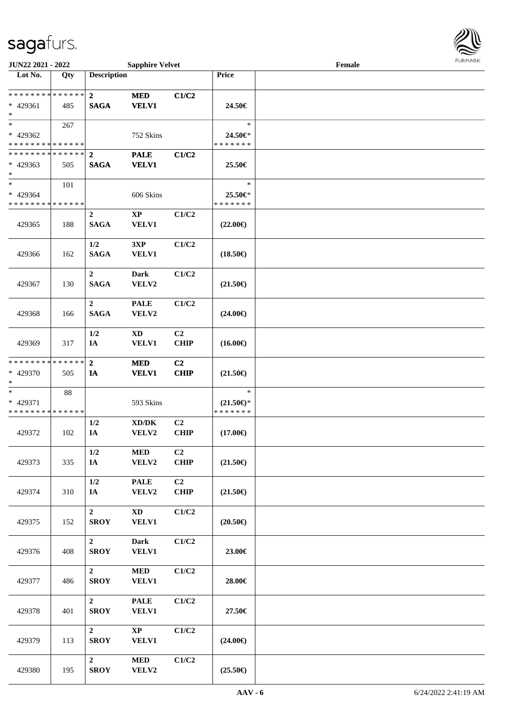

| JUN22 2021 - 2022                                   |     |                                 | <b>Sapphire Velvet</b>                       |                               |                                                | Female |  |
|-----------------------------------------------------|-----|---------------------------------|----------------------------------------------|-------------------------------|------------------------------------------------|--------|--|
| Lot No.                                             | Qty | <b>Description</b>              |                                              |                               | Price                                          |        |  |
| * * * * * * * * * * * * * *<br>* 429361<br>$*$      | 485 | $\mathbf{2}$<br><b>SAGA</b>     | <b>MED</b><br><b>VELV1</b>                   | C1/C2                         | 24.50€                                         |        |  |
| $*$<br>* 429362<br>* * * * * * * * * * * * * *      | 267 |                                 | 752 Skins                                    |                               | $\ast$<br>24.50€*<br>* * * * * * *             |        |  |
| * * * * * * * * * * * * * * *<br>* 429363<br>$\ast$ | 505 | $\mathbf{2}$<br><b>SAGA</b>     | <b>PALE</b><br><b>VELV1</b>                  | C1/C2                         | 25.50€                                         |        |  |
| $*$<br>* 429364<br>* * * * * * * * * * * * * *      | 101 |                                 | 606 Skins                                    |                               | $\ast$<br>25.50€*<br>* * * * * * *             |        |  |
| 429365                                              | 188 | $\boldsymbol{2}$<br><b>SAGA</b> | $\bold{XP}$<br><b>VELV1</b>                  | C1/C2                         | $(22.00\epsilon)$                              |        |  |
| 429366                                              | 162 | 1/2<br><b>SAGA</b>              | 3XP<br>VELV1                                 | C1/C2                         | $(18.50\epsilon)$                              |        |  |
| 429367                                              | 130 | $\overline{2}$<br><b>SAGA</b>   | <b>Dark</b><br>VELV2                         | C1/C2                         | $(21.50\epsilon)$                              |        |  |
| 429368                                              | 166 | $\overline{2}$<br><b>SAGA</b>   | <b>PALE</b><br>VELV2                         | C1/C2                         | $(24.00\epsilon)$                              |        |  |
| 429369                                              | 317 | 1/2<br>IA                       | $\mathbf{X}\mathbf{D}$<br>VELV1              | C <sub>2</sub><br><b>CHIP</b> | $(16.00\epsilon)$                              |        |  |
| * * * * * * * * * * * * * *<br>* 429370<br>$*$      | 505 | $\mathbf{2}$<br>IA              | <b>MED</b><br><b>VELV1</b>                   | C <sub>2</sub><br><b>CHIP</b> | $(21.50\epsilon)$                              |        |  |
| $\ast$<br>* 429371<br>* * * * * * * * * * * * * *   | 88  |                                 | 593 Skins                                    |                               | $\ast$<br>$(21.50\epsilon)$ *<br>* * * * * * * |        |  |
| 429372                                              | 102 | 1/2<br>IA                       | $\bold{X}\bold{D}/\bold{D}\bold{K}$<br>VELV2 | C <sub>2</sub><br><b>CHIP</b> | $(17.00\epsilon)$                              |        |  |
| 429373                                              | 335 | 1/2<br>$I\!\!A$                 | $\bf MED$<br>VELV2                           | C <sub>2</sub><br><b>CHIP</b> | $(21.50\epsilon)$                              |        |  |
| 429374                                              | 310 | 1/2<br>IA                       | <b>PALE</b><br>VELV2                         | C <sub>2</sub><br><b>CHIP</b> | $(21.50\epsilon)$                              |        |  |
| 429375                                              | 152 | $\boldsymbol{2}$<br><b>SROY</b> | $\mathbf{X}\mathbf{D}$<br><b>VELV1</b>       | C1/C2                         | $(20.50\epsilon)$                              |        |  |
| 429376                                              | 408 | $\overline{2}$<br><b>SROY</b>   | <b>Dark</b><br><b>VELV1</b>                  | C1/C2                         | 23.00€                                         |        |  |
| 429377                                              | 486 | $\overline{2}$<br><b>SROY</b>   | $\bf MED$<br><b>VELV1</b>                    | C1/C2                         | 28.00€                                         |        |  |
| 429378                                              | 401 | $\overline{2}$<br><b>SROY</b>   | <b>PALE</b><br><b>VELV1</b>                  | C1/C2                         | 27.50€                                         |        |  |
| 429379                                              | 113 | $\overline{2}$<br><b>SROY</b>   | $\mathbf{X}\mathbf{P}$<br><b>VELV1</b>       | C1/C2                         | $(24.00\epsilon)$                              |        |  |
| 429380                                              | 195 | $\mathbf{2}$<br><b>SROY</b>     | $\bf MED$<br>VELV2                           | C1/C2                         | $(25.50\epsilon)$                              |        |  |